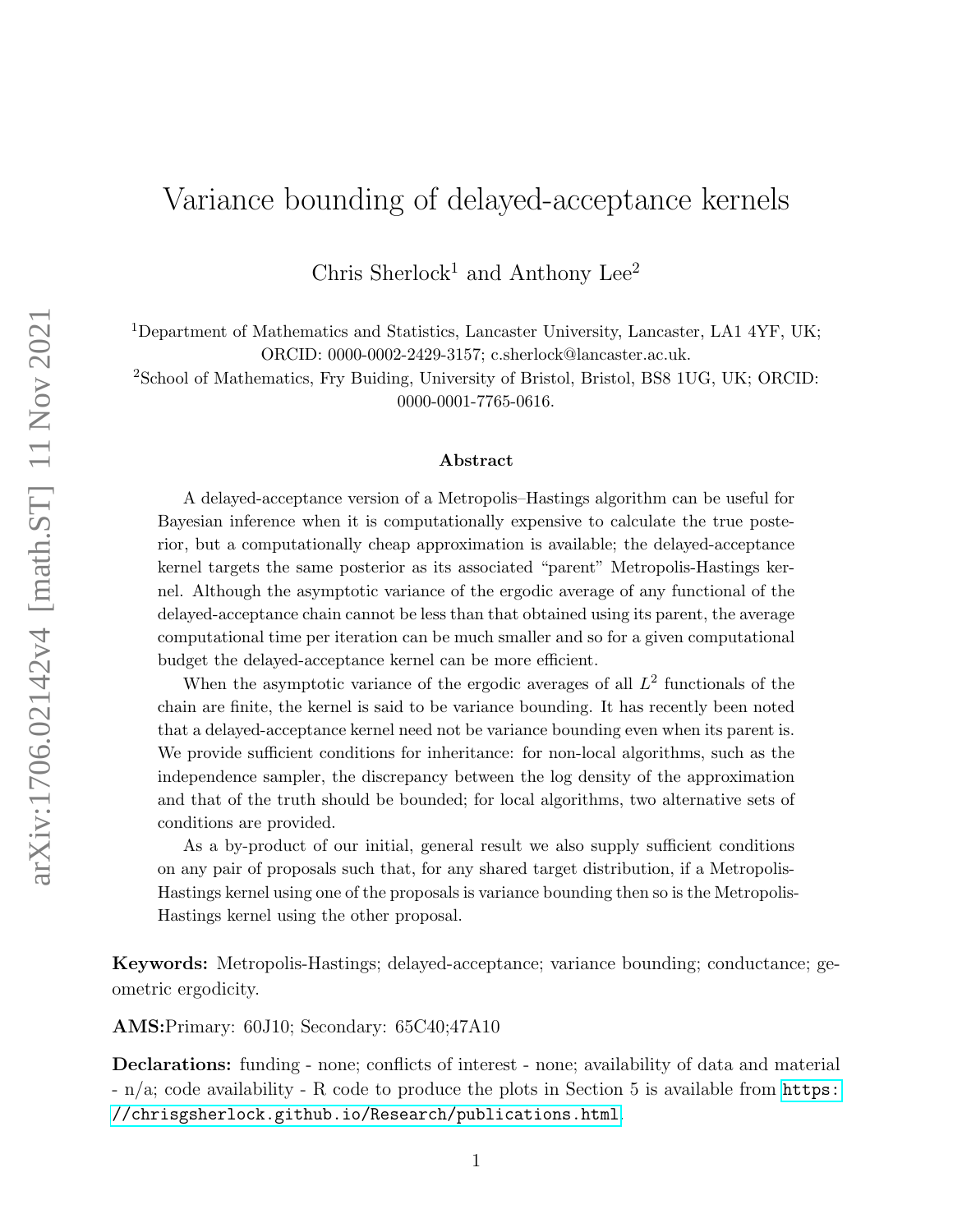# Variance bounding of delayed-acceptance kernels

Chris Sherlock<sup>1</sup> and Anthony Lee<sup>2</sup>

<sup>1</sup>Department of Mathematics and Statistics, Lancaster University, Lancaster, LA1 4YF, UK; ORCID: 0000-0002-2429-3157; c.sherlock@lancaster.ac.uk.

<sup>2</sup>School of Mathematics, Fry Buiding, University of Bristol, Bristol, BS8 1UG, UK; ORCID: 0000-0001-7765-0616.

#### Abstract

A delayed-acceptance version of a Metropolis–Hastings algorithm can be useful for Bayesian inference when it is computationally expensive to calculate the true posterior, but a computationally cheap approximation is available; the delayed-acceptance kernel targets the same posterior as its associated "parent" Metropolis-Hastings kernel. Although the asymptotic variance of the ergodic average of any functional of the delayed-acceptance chain cannot be less than that obtained using its parent, the average computational time per iteration can be much smaller and so for a given computational budget the delayed-acceptance kernel can be more efficient.

When the asymptotic variance of the ergodic averages of all  $L^2$  functionals of the chain are finite, the kernel is said to be variance bounding. It has recently been noted that a delayed-acceptance kernel need not be variance bounding even when its parent is. We provide sufficient conditions for inheritance: for non-local algorithms, such as the independence sampler, the discrepancy between the log density of the approximation and that of the truth should be bounded; for local algorithms, two alternative sets of conditions are provided.

As a by-product of our initial, general result we also supply sufficient conditions on any pair of proposals such that, for any shared target distribution, if a Metropolis-Hastings kernel using one of the proposals is variance bounding then so is the Metropolis-Hastings kernel using the other proposal.

Keywords: Metropolis-Hastings; delayed-acceptance; variance bounding; conductance; geometric ergodicity.

AMS:Primary: 60J10; Secondary: 65C40;47A10

Declarations: funding - none; conflicts of interest - none; availability of data and material - n/a; code availability - R code to produce the plots in Section 5 is available from [https:](https://chrisgsherlock.github.io/Research/publications.html) [//chrisgsherlock.github.io/Research/publications.html](https://chrisgsherlock.github.io/Research/publications.html).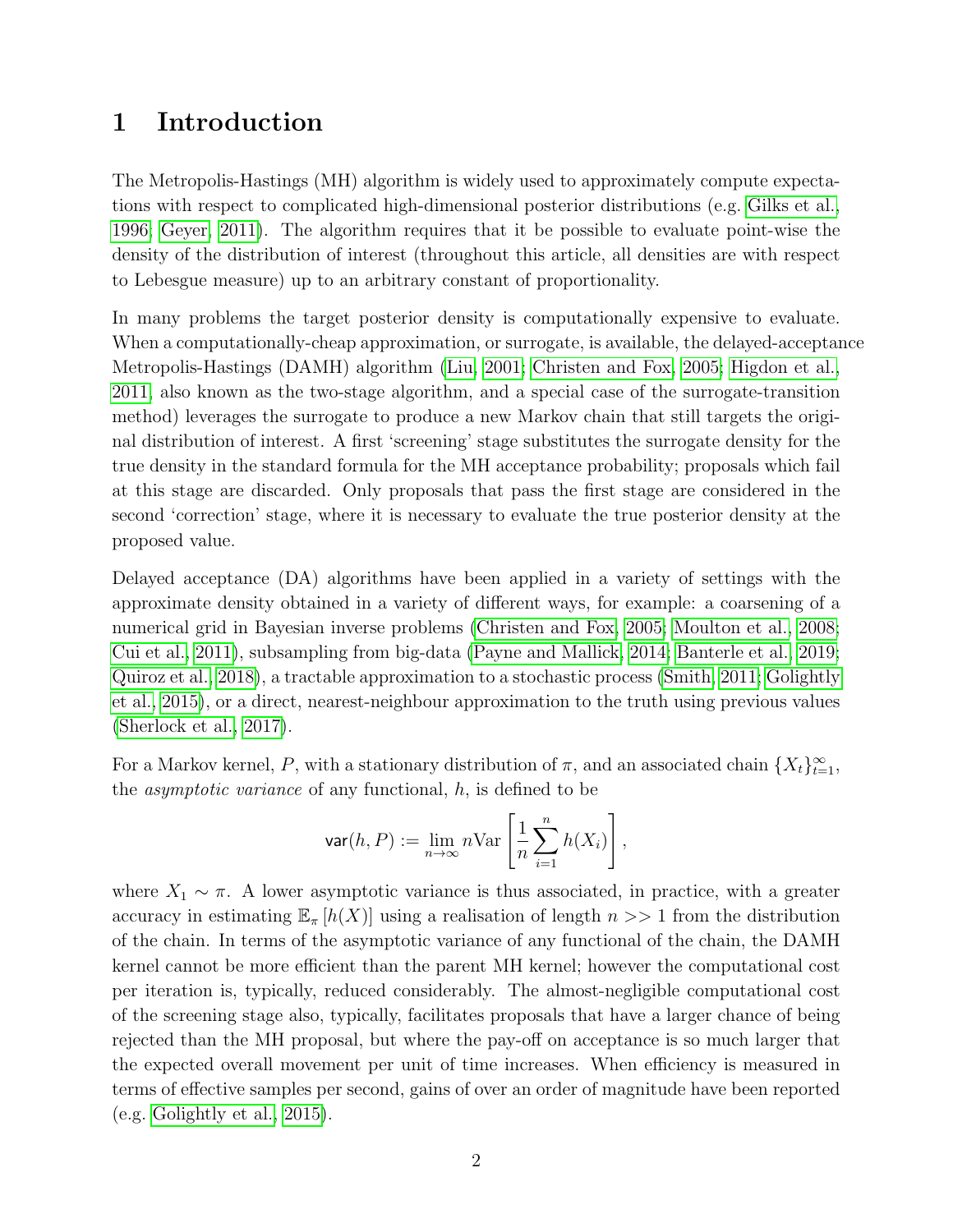## 1 Introduction

The Metropolis-Hastings (MH) algorithm is widely used to approximately compute expectations with respect to complicated high-dimensional posterior distributions (e.g. [Gilks et al.,](#page-19-0) [1996;](#page-19-0) [Geyer, 2011\)](#page-19-1). The algorithm requires that it be possible to evaluate point-wise the density of the distribution of interest (throughout this article, all densities are with respect to Lebesgue measure) up to an arbitrary constant of proportionality.

In many problems the target posterior density is computationally expensive to evaluate. When a computationally-cheap approximation, or surrogate, is available, the delayed-acceptance Metropolis-Hastings (DAMH) algorithm [\(Liu, 2001;](#page-20-0) [Christen and Fox, 2005;](#page-19-2) [Higdon et al.,](#page-19-3) [2011,](#page-19-3) also known as the two-stage algorithm, and a special case of the surrogate-transition method) leverages the surrogate to produce a new Markov chain that still targets the original distribution of interest. A first 'screening' stage substitutes the surrogate density for the true density in the standard formula for the MH acceptance probability; proposals which fail at this stage are discarded. Only proposals that pass the first stage are considered in the second 'correction' stage, where it is necessary to evaluate the true posterior density at the proposed value.

Delayed acceptance (DA) algorithms have been applied in a variety of settings with the approximate density obtained in a variety of different ways, for example: a coarsening of a numerical grid in Bayesian inverse problems [\(Christen and Fox, 2005;](#page-19-2) [Moulton et al., 2008;](#page-20-1) [Cui et al., 2011\)](#page-19-4), subsampling from big-data [\(Payne and Mallick, 2014;](#page-20-2) [Banterle et al., 2019;](#page-18-0) [Quiroz et al., 2018\)](#page-20-3), a tractable approximation to a stochastic process [\(Smith, 2011;](#page-21-0) [Golightly](#page-19-5) [et al., 2015\)](#page-19-5), or a direct, nearest-neighbour approximation to the truth using previous values [\(Sherlock et al., 2017\)](#page-21-1).

For a Markov kernel, P, with a stationary distribution of  $\pi$ , and an associated chain  $\{X_t\}_{t=1}^{\infty}$ , the *asymptotic variance* of any functional,  $h$ , is defined to be

$$
\mathsf{var}(h, P) := \lim_{n \to \infty} n \text{Var}\left[\frac{1}{n} \sum_{i=1}^n h(X_i)\right],
$$

where  $X_1 \sim \pi$ . A lower asymptotic variance is thus associated, in practice, with a greater accuracy in estimating  $\mathbb{E}_{\pi} [h(X)]$  using a realisation of length  $n >> 1$  from the distribution of the chain. In terms of the asymptotic variance of any functional of the chain, the DAMH kernel cannot be more efficient than the parent MH kernel; however the computational cost per iteration is, typically, reduced considerably. The almost-negligible computational cost of the screening stage also, typically, facilitates proposals that have a larger chance of being rejected than the MH proposal, but where the pay-off on acceptance is so much larger that the expected overall movement per unit of time increases. When efficiency is measured in terms of effective samples per second, gains of over an order of magnitude have been reported (e.g. [Golightly et al., 2015\)](#page-19-5).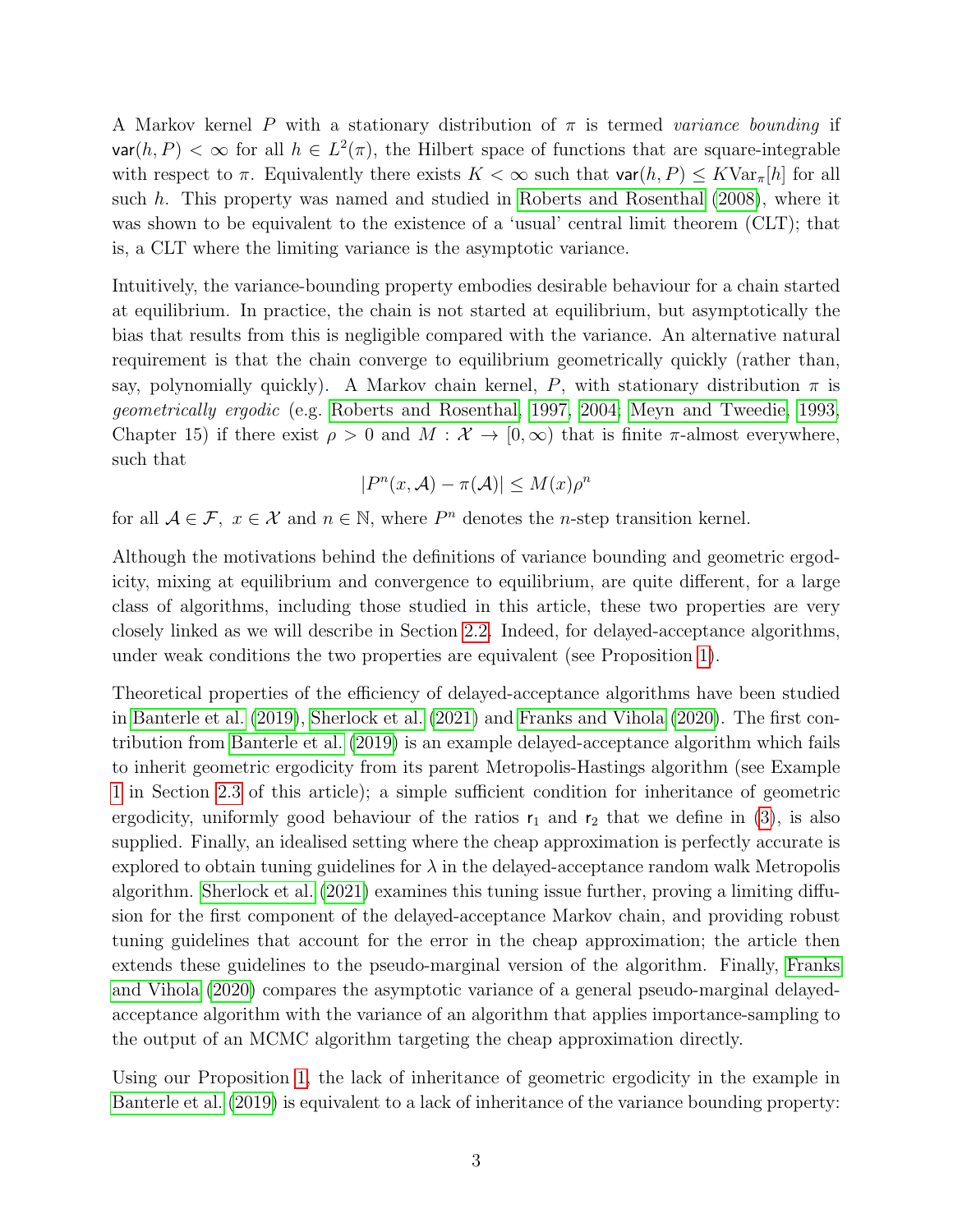A Markov kernel P with a stationary distribution of  $\pi$  is termed variance bounding if  $var(h, P) < \infty$  for all  $h \in L^2(\pi)$ , the Hilbert space of functions that are square-integrable with respect to  $\pi$ . Equivalently there exists  $K < \infty$  such that  $var(h, P) \leq K \text{Var}_{\pi}[h]$  for all such h. This property was named and studied in [Roberts and Rosenthal](#page-20-4) [\(2008\)](#page-20-4), where it was shown to be equivalent to the existence of a 'usual' central limit theorem (CLT); that is, a CLT where the limiting variance is the asymptotic variance.

Intuitively, the variance-bounding property embodies desirable behaviour for a chain started at equilibrium. In practice, the chain is not started at equilibrium, but asymptotically the bias that results from this is negligible compared with the variance. An alternative natural requirement is that the chain converge to equilibrium geometrically quickly (rather than, say, polynomially quickly). A Markov chain kernel, P, with stationary distribution  $\pi$  is geometrically ergodic (e.g. [Roberts and Rosenthal, 1997,](#page-20-5) [2004;](#page-20-6) [Meyn and Tweedie, 1993,](#page-20-7) Chapter 15) if there exist  $\rho > 0$  and  $M : \mathcal{X} \to [0, \infty)$  that is finite  $\pi$ -almost everywhere, such that

$$
|P^n(x, \mathcal{A}) - \pi(\mathcal{A})| \le M(x)\rho^n
$$

for all  $A \in \mathcal{F}$ ,  $x \in \mathcal{X}$  and  $n \in \mathbb{N}$ , where  $P^n$  denotes the *n*-step transition kernel.

Although the motivations behind the definitions of variance bounding and geometric ergodicity, mixing at equilibrium and convergence to equilibrium, are quite different, for a large class of algorithms, including those studied in this article, these two properties are very closely linked as we will describe in Section [2.2.](#page-4-0) Indeed, for delayed-acceptance algorithms, under weak conditions the two properties are equivalent (see Proposition [1\)](#page-6-0).

Theoretical properties of the efficiency of delayed-acceptance algorithms have been studied in [Banterle et al.](#page-18-0) [\(2019\)](#page-18-0), [Sherlock et al.](#page-21-2) [\(2021\)](#page-21-2) and [Franks and Vihola](#page-19-6) [\(2020\)](#page-19-6). The first contribution from [Banterle et al.](#page-18-0) [\(2019\)](#page-18-0) is an example delayed-acceptance algorithm which fails to inherit geometric ergodicity from its parent Metropolis-Hastings algorithm (see Example [1](#page-6-1) in Section [2.3](#page-5-0) of this article); a simple sufficient condition for inheritance of geometric ergodicity, uniformly good behaviour of the ratios  $r_1$  and  $r_2$  that we define in [\(3\)](#page-4-1), is also supplied. Finally, an idealised setting where the cheap approximation is perfectly accurate is explored to obtain tuning guidelines for  $\lambda$  in the delayed-acceptance random walk Metropolis algorithm. [Sherlock et al.](#page-21-2) [\(2021\)](#page-21-2) examines this tuning issue further, proving a limiting diffusion for the first component of the delayed-acceptance Markov chain, and providing robust tuning guidelines that account for the error in the cheap approximation; the article then extends these guidelines to the pseudo-marginal version of the algorithm. Finally, [Franks](#page-19-6) [and Vihola](#page-19-6) [\(2020\)](#page-19-6) compares the asymptotic variance of a general pseudo-marginal delayedacceptance algorithm with the variance of an algorithm that applies importance-sampling to the output of an MCMC algorithm targeting the cheap approximation directly.

Using our Proposition [1,](#page-6-0) the lack of inheritance of geometric ergodicity in the example in [Banterle et al.](#page-18-0) [\(2019\)](#page-18-0) is equivalent to a lack of inheritance of the variance bounding property: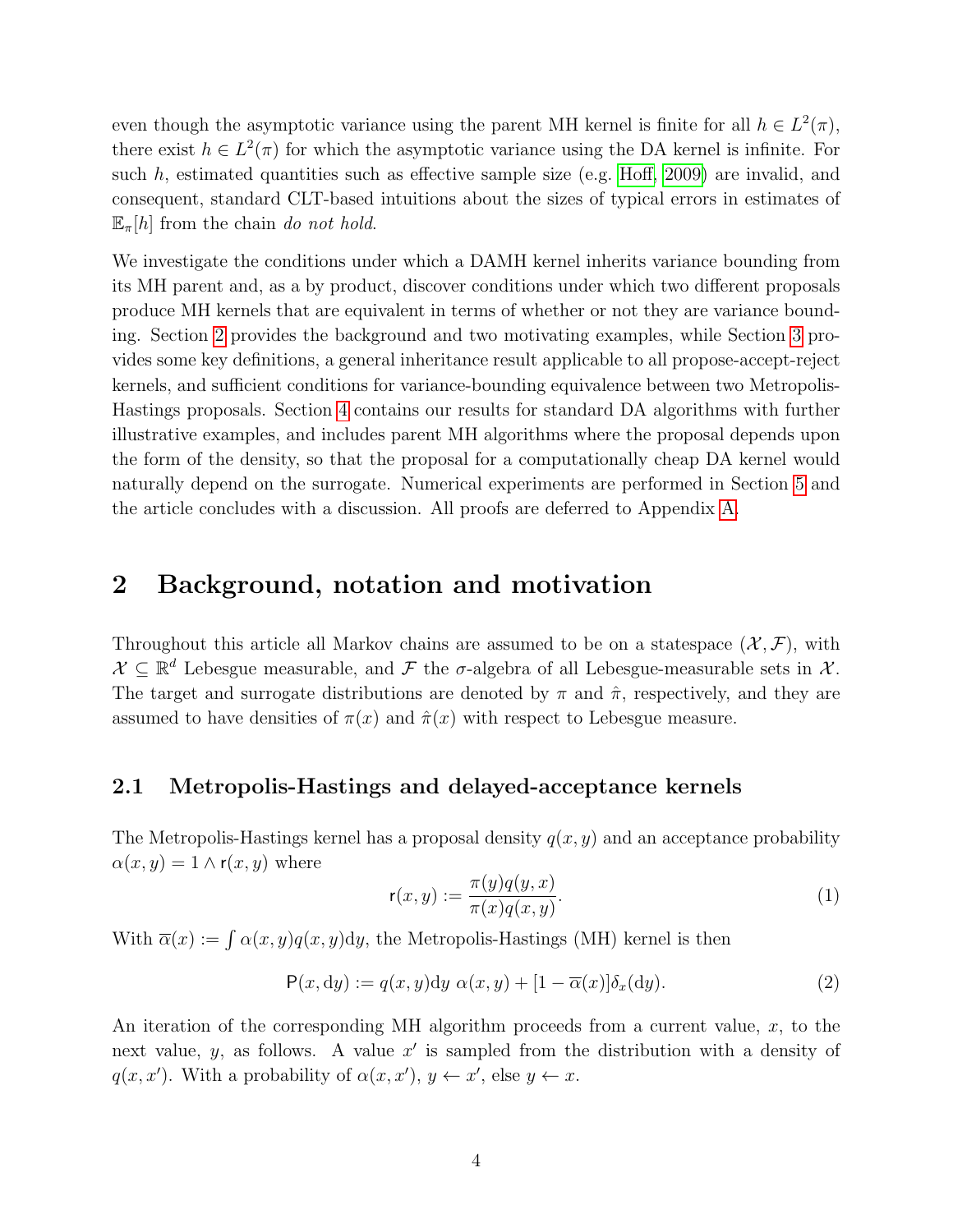even though the asymptotic variance using the parent MH kernel is finite for all  $h \in L^2(\pi)$ , there exist  $h \in L^2(\pi)$  for which the asymptotic variance using the DA kernel is infinite. For such  $h$ , estimated quantities such as effective sample size (e.g. [Hoff, 2009\)](#page-19-7) are invalid, and consequent, standard CLT-based intuitions about the sizes of typical errors in estimates of  $\mathbb{E}_{\pi}[h]$  from the chain do not hold.

We investigate the conditions under which a DAMH kernel inherits variance bounding from its MH parent and, as a by product, discover conditions under which two different proposals produce MH kernels that are equivalent in terms of whether or not they are variance bounding. Section [2](#page-3-0) provides the background and two motivating examples, while Section [3](#page-7-0) provides some key definitions, a general inheritance result applicable to all propose-accept-reject kernels, and sufficient conditions for variance-bounding equivalence between two Metropolis-Hastings proposals. Section [4](#page-9-0) contains our results for standard DA algorithms with further illustrative examples, and includes parent MH algorithms where the proposal depends upon the form of the density, so that the proposal for a computationally cheap DA kernel would naturally depend on the surrogate. Numerical experiments are performed in Section [5](#page-15-0) and the article concludes with a discussion. All proofs are deferred to Appendix [A.](#page-21-3)

## <span id="page-3-0"></span>2 Background, notation and motivation

Throughout this article all Markov chains are assumed to be on a statespace  $(\mathcal{X}, \mathcal{F})$ , with  $\mathcal{X} \subseteq \mathbb{R}^d$  Lebesgue measurable, and  $\mathcal F$  the  $\sigma$ -algebra of all Lebesgue-measurable sets in  $\mathcal X$ . The target and surrogate distributions are denoted by  $\pi$  and  $\hat{\pi}$ , respectively, and they are assumed to have densities of  $\pi(x)$  and  $\hat{\pi}(x)$  with respect to Lebesgue measure.

## 2.1 Metropolis-Hastings and delayed-acceptance kernels

The Metropolis-Hastings kernel has a proposal density  $q(x, y)$  and an acceptance probability  $\alpha(x, y) = 1 \wedge r(x, y)$  where

$$
\mathsf{r}(x,y) := \frac{\pi(y)q(y,x)}{\pi(x)q(x,y)}.\tag{1}
$$

With  $\overline{\alpha}(x) := \int \alpha(x, y) q(x, y) dy$ , the Metropolis-Hastings (MH) kernel is then

<span id="page-3-1"></span>
$$
P(x, dy) := q(x, y)dy \alpha(x, y) + [1 - \overline{\alpha}(x)]\delta_x(dy). \tag{2}
$$

An iteration of the corresponding MH algorithm proceeds from a current value,  $x$ , to the next value, y, as follows. A value  $x'$  is sampled from the distribution with a density of  $q(x, x')$ . With a probability of  $\alpha(x, x')$ ,  $y \leftarrow x'$ , else  $y \leftarrow x$ .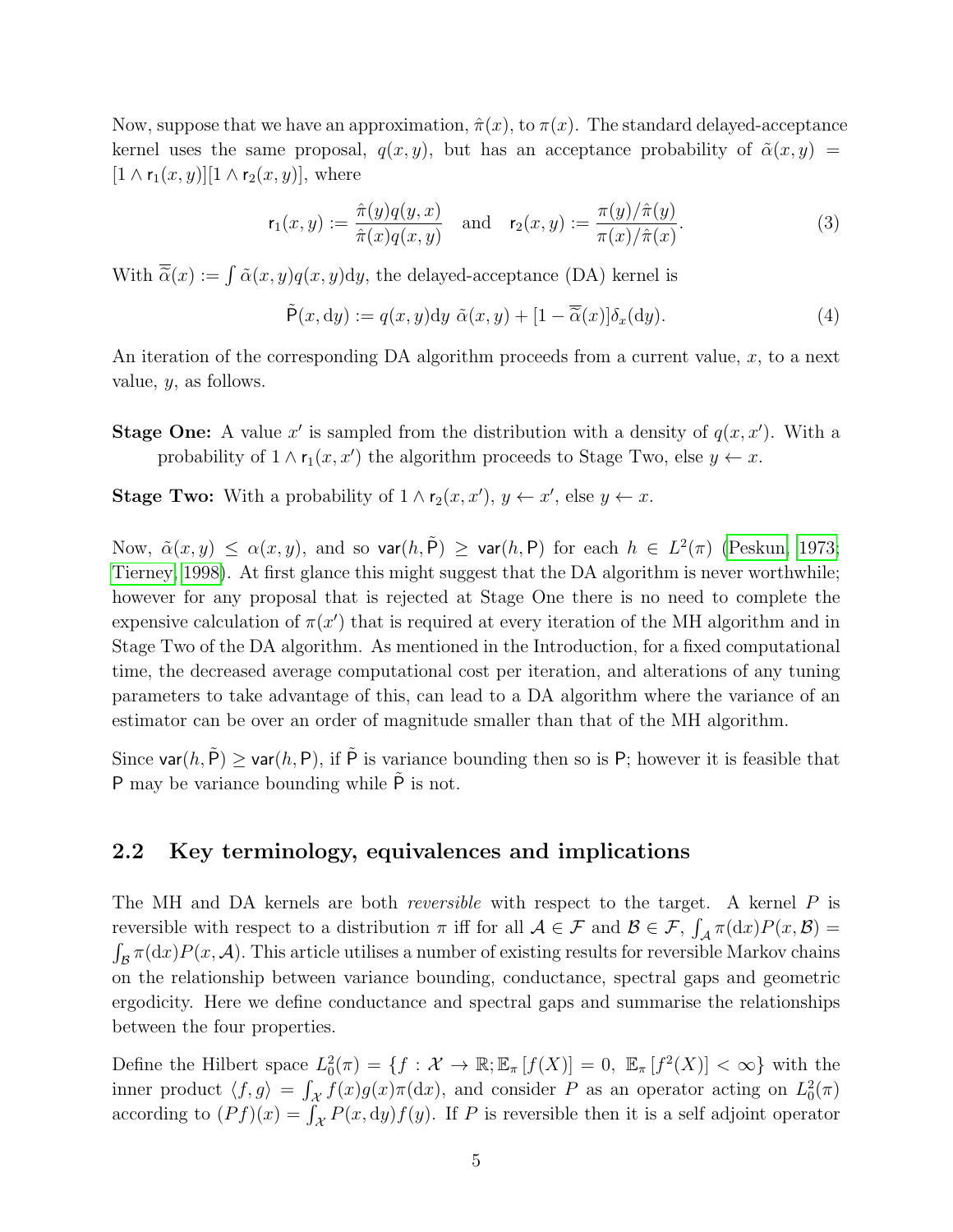Now, suppose that we have an approximation,  $\hat{\pi}(x)$ , to  $\pi(x)$ . The standard delayed-acceptance kernel uses the same proposal,  $q(x, y)$ , but has an acceptance probability of  $\tilde{\alpha}(x, y)$  =  $[1 \wedge r_1(x, y)][1 \wedge r_2(x, y)]$ , where

<span id="page-4-1"></span>
$$
\mathsf{r}_1(x,y) := \frac{\hat{\pi}(y)q(y,x)}{\hat{\pi}(x)q(x,y)} \quad \text{and} \quad \mathsf{r}_2(x,y) := \frac{\pi(y)/\hat{\pi}(y)}{\pi(x)/\hat{\pi}(x)}.\tag{3}
$$

With  $\overline{\tilde{\alpha}}(x) := \int \tilde{\alpha}(x, y) q(x, y) dy$ , the delayed-acceptance (DA) kernel is

<span id="page-4-2"></span>
$$
\tilde{\mathsf{P}}(x, \mathrm{d}y) := q(x, y) \mathrm{d}y \; \tilde{\alpha}(x, y) + [1 - \overline{\tilde{\alpha}}(x)] \delta_x(\mathrm{d}y). \tag{4}
$$

An iteration of the corresponding DA algorithm proceeds from a current value,  $x$ , to a next value, y, as follows.

- **Stage One:** A value x' is sampled from the distribution with a density of  $q(x, x')$ . With a probability of  $1 \wedge r_1(x, x')$  the algorithm proceeds to Stage Two, else  $y \leftarrow x$ .
- **Stage Two:** With a probability of  $1 \wedge r_2(x, x')$ ,  $y \leftarrow x'$ , else  $y \leftarrow x$ .

Now,  $\tilde{\alpha}(x, y) \leq \alpha(x, y)$ , and so  $\textsf{var}(h, \tilde{P}) \geq \textsf{var}(h, P)$  for each  $h \in L^2(\pi)$  [\(Peskun, 1973;](#page-20-8) [Tierney, 1998\)](#page-21-4). At first glance this might suggest that the DA algorithm is never worthwhile; however for any proposal that is rejected at Stage One there is no need to complete the expensive calculation of  $\pi(x')$  that is required at every iteration of the MH algorithm and in Stage Two of the DA algorithm. As mentioned in the Introduction, for a fixed computational time, the decreased average computational cost per iteration, and alterations of any tuning parameters to take advantage of this, can lead to a DA algorithm where the variance of an estimator can be over an order of magnitude smaller than that of the MH algorithm.

Since  $\text{var}(h, \tilde{P}) \geq \text{var}(h, P)$ , if  $\tilde{P}$  is variance bounding then so is P; however it is feasible that P may be variance bounding while  $\tilde{P}$  is not.

### <span id="page-4-0"></span>2.2 Key terminology, equivalences and implications

The MH and DA kernels are both *reversible* with respect to the target. A kernel P is reversible with respect to a distribution  $\pi$  iff for all  $\mathcal{A} \in \mathcal{F}$  and  $\mathcal{B} \in \mathcal{F}$ ,  $\int_{\mathcal{A}} \pi(dx) P(x, \mathcal{B}) =$  $\int_{\mathcal{B}} \pi(dx) P(x, \mathcal{A})$ . This article utilises a number of existing results for reversible Markov chains on the relationship between variance bounding, conductance, spectral gaps and geometric ergodicity. Here we define conductance and spectral gaps and summarise the relationships between the four properties.

Define the Hilbert space  $L_0^2(\pi) = \{f : \mathcal{X} \to \mathbb{R}; \mathbb{E}_{\pi}[f(X)] = 0, \mathbb{E}_{\pi}[f^2(X)] < \infty\}$  with the inner product  $\langle f, g \rangle = \int_{\mathcal{X}} f(x)g(x)\pi(\mathrm{d}x)$ , and consider P as an operator acting on  $L_0^2(\pi)$ according to  $(Pf)(x) = \int_{\mathcal{X}} P(x, dy) f(y)$ . If P is reversible then it is a self adjoint operator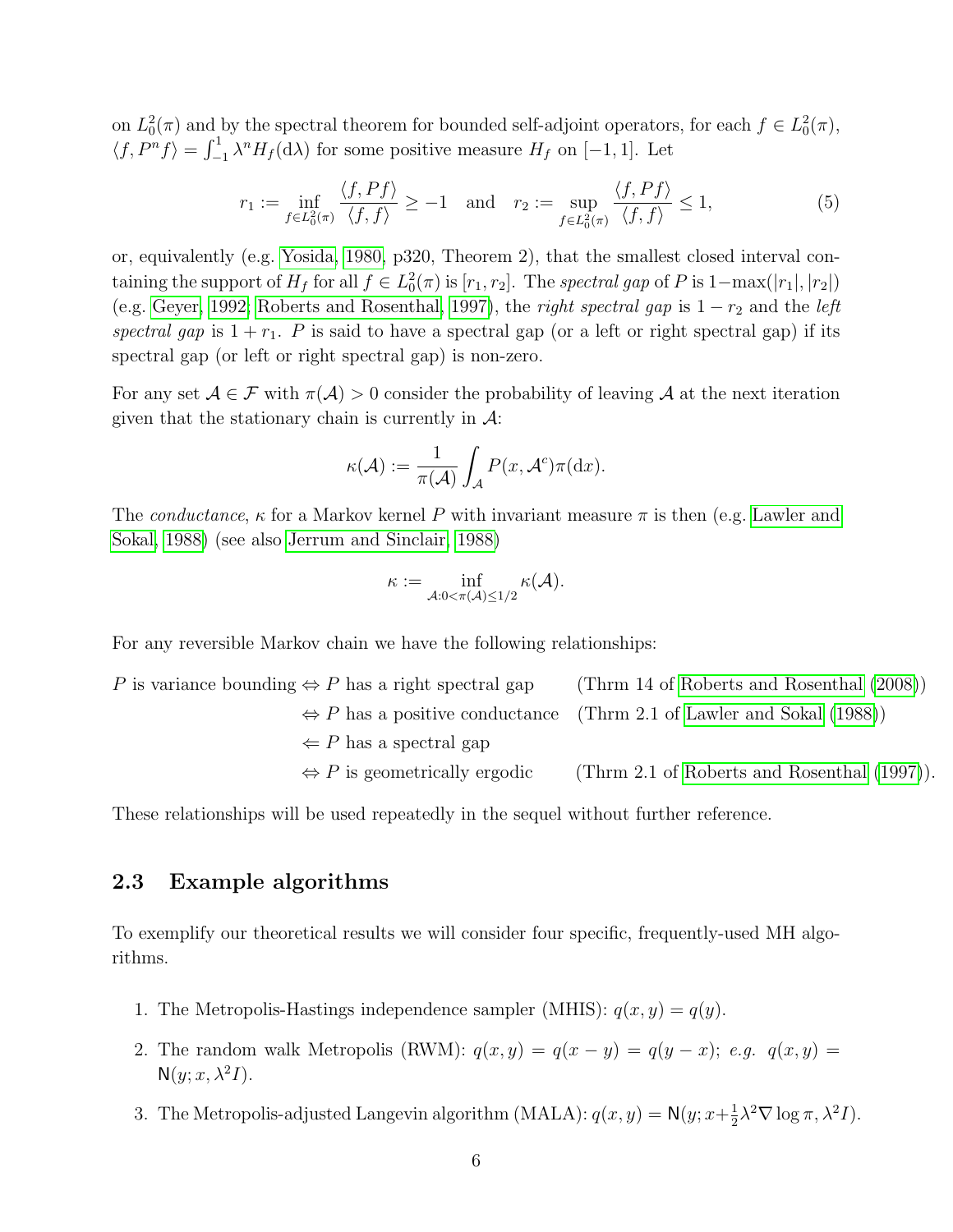on  $L_0^2(\pi)$  and by the spectral theorem for bounded self-adjoint operators, for each  $f \in L_0^2(\pi)$ ,  $\langle f, P^n f \rangle = \int_{-1}^1 \lambda^n H_f(\mathrm{d}\lambda)$  for some positive measure  $H_f$  on [−1, 1]. Let

<span id="page-5-1"></span>
$$
r_1 := \inf_{f \in L_0^2(\pi)} \frac{\langle f, Pf \rangle}{\langle f, f \rangle} \ge -1 \quad \text{and} \quad r_2 := \sup_{f \in L_0^2(\pi)} \frac{\langle f, Pf \rangle}{\langle f, f \rangle} \le 1,\tag{5}
$$

or, equivalently (e.g. [Yosida, 1980,](#page-21-5) p320, Theorem 2), that the smallest closed interval containing the support of  $H_f$  for all  $f \in L_0^2(\pi)$  is  $[r_1, r_2]$ . The spectral gap of P is  $1-\max(|r_1|, |r_2|)$ (e.g. [Geyer, 1992;](#page-19-8) [Roberts and Rosenthal, 1997\)](#page-20-5), the *right spectral gap* is  $1 - r_2$  and the *left* spectral gap is  $1 + r_1$ . P is said to have a spectral gap (or a left or right spectral gap) if its spectral gap (or left or right spectral gap) is non-zero.

For any set  $A \in \mathcal{F}$  with  $\pi(A) > 0$  consider the probability of leaving A at the next iteration given that the stationary chain is currently in  $\mathcal{A}$ :

$$
\kappa(\mathcal{A}) := \frac{1}{\pi(\mathcal{A})} \int_{\mathcal{A}} P(x, \mathcal{A}^c) \pi(\mathrm{d}x).
$$

The conductance,  $\kappa$  for a Markov kernel P with invariant measure  $\pi$  is then (e.g. [Lawler and](#page-20-9) [Sokal, 1988\)](#page-20-9) (see also [Jerrum and Sinclair, 1988\)](#page-19-9)

$$
\kappa := \inf_{\mathcal{A}: 0 < \pi(\mathcal{A}) \leq 1/2} \kappa(\mathcal{A}).
$$

For any reversible Markov chain we have the following relationships:

P is variance bounding  $\Leftrightarrow$  P has a right spectral gap (Thrm 14 of [Roberts and Rosenthal](#page-20-4) [\(2008\)](#page-20-4))  $\Leftrightarrow$  P has a positive conductance (Thrm 2.1 of [Lawler and Sokal](#page-20-9) [\(1988\)](#page-20-9))  $\Leftarrow$  P has a spectral gap  $\Leftrightarrow$  P is geometrically ergodic (Thrm 2.1 of [Roberts and Rosenthal](#page-20-5) [\(1997\)](#page-20-5)).

These relationships will be used repeatedly in the sequel without further reference.

## <span id="page-5-0"></span>2.3 Example algorithms

To exemplify our theoretical results we will consider four specific, frequently-used MH algorithms.

- 1. The Metropolis-Hastings independence sampler (MHIS):  $q(x, y) = q(y)$ .
- 2. The random walk Metropolis (RWM):  $q(x, y) = q(x y) = q(y x)$ ; e.g.  $q(x, y) =$  $N(y; x, \lambda^2 I).$
- 3. The Metropolis-adjusted Langevin algorithm (MALA):  $q(x, y) = N(y; x+\frac{1}{2})$  $\frac{1}{2}\lambda^2 \nabla \log \pi, \lambda^2 I$ .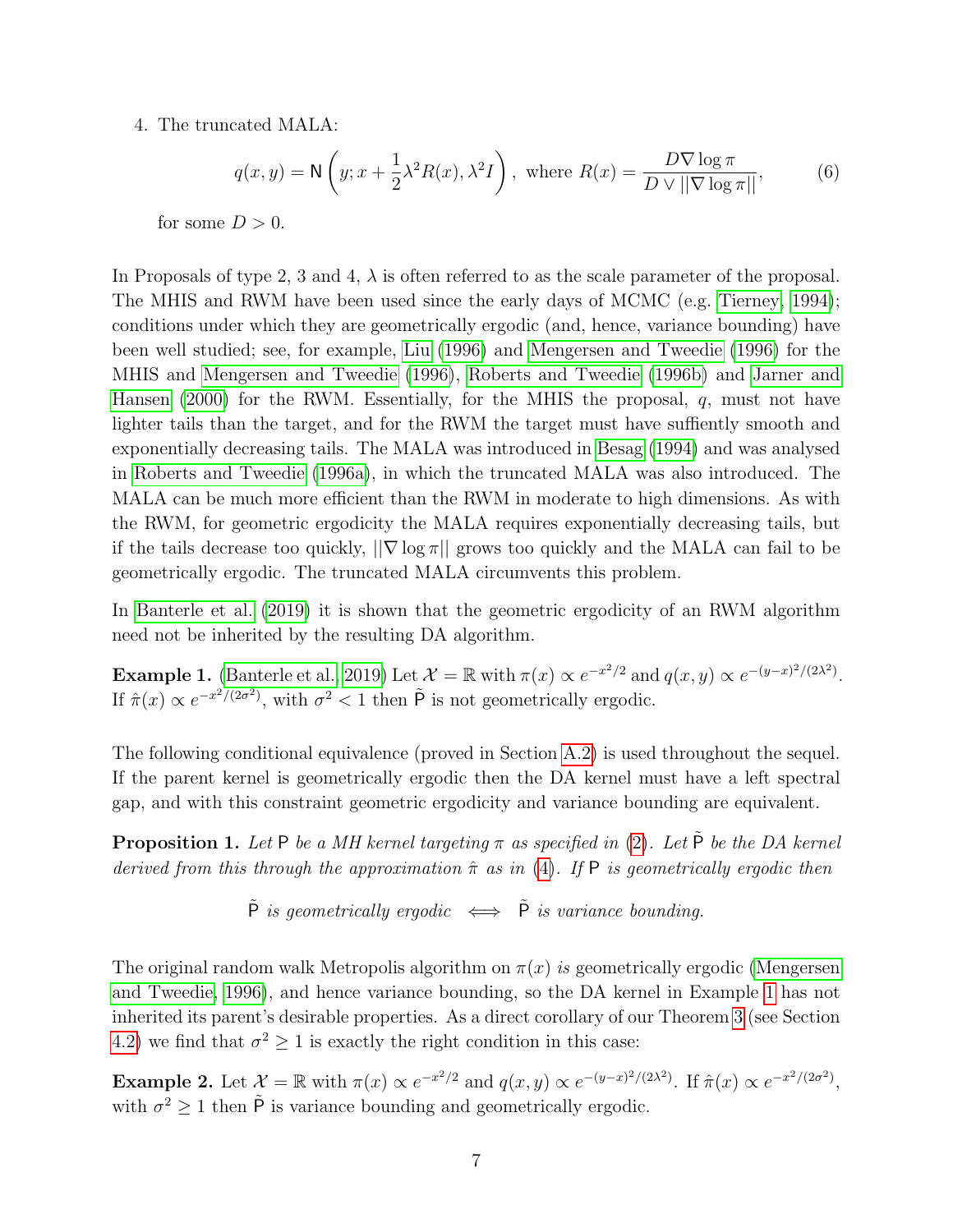### 4. The truncated MALA:

<span id="page-6-3"></span>
$$
q(x,y) = \mathsf{N}\left(y; x + \frac{1}{2}\lambda^2 R(x), \lambda^2 I\right), \text{ where } R(x) = \frac{D\nabla\log\pi}{D\vee||\nabla\log\pi||},\tag{6}
$$

for some  $D > 0$ .

In Proposals of type 2, 3 and 4,  $\lambda$  is often referred to as the scale parameter of the proposal. The MHIS and RWM have been used since the early days of MCMC (e.g. [Tierney, 1994\)](#page-21-6); conditions under which they are geometrically ergodic (and, hence, variance bounding) have been well studied; see, for example, [Liu](#page-20-10) [\(1996\)](#page-20-10) and [Mengersen and Tweedie](#page-20-11) [\(1996\)](#page-20-11) for the MHIS and [Mengersen and Tweedie](#page-20-11) [\(1996\)](#page-20-11), [Roberts and Tweedie](#page-21-7) [\(1996b\)](#page-21-7) and [Jarner and](#page-19-10) [Hansen](#page-19-10) [\(2000\)](#page-19-10) for the RWM. Essentially, for the MHIS the proposal,  $q$ , must not have lighter tails than the target, and for the RWM the target must have suffiently smooth and exponentially decreasing tails. The MALA was introduced in [Besag](#page-18-1) [\(1994\)](#page-18-1) and was analysed in [Roberts and Tweedie](#page-20-12) [\(1996a\)](#page-20-12), in which the truncated MALA was also introduced. The MALA can be much more efficient than the RWM in moderate to high dimensions. As with the RWM, for geometric ergodicity the MALA requires exponentially decreasing tails, but if the tails decrease too quickly,  $\|\nabla \log \pi\|$  grows too quickly and the MALA can fail to be geometrically ergodic. The truncated MALA circumvents this problem.

In [Banterle et al.](#page-18-0) [\(2019\)](#page-18-0) it is shown that the geometric ergodicity of an RWM algorithm need not be inherited by the resulting DA algorithm.

<span id="page-6-1"></span>**Example 1.** [\(Banterle et al., 2019\)](#page-18-0) Let  $\mathcal{X} = \mathbb{R}$  with  $\pi(x) \propto e^{-x^2/2}$  and  $q(x, y) \propto e^{-(y-x)^2/(2\lambda^2)}$ . If  $\hat{\pi}(x) \propto e^{-x^2/(2\sigma^2)}$ , with  $\sigma^2 < 1$  then  $\tilde{P}$  is not geometrically ergodic.

The following conditional equivalence (proved in Section [A.2\)](#page-23-0) is used throughout the sequel. If the parent kernel is geometrically ergodic then the DA kernel must have a left spectral gap, and with this constraint geometric ergodicity and variance bounding are equivalent.

<span id="page-6-0"></span>**Proposition 1.** Let P be a MH kernel targeting  $\pi$  as specified in [\(2\)](#page-3-1). Let  $\tilde{P}$  be the DA kernel derived from this through the approximation  $\hat{\pi}$  as in [\(4\)](#page-4-2). If P is geometrically ergodic then

 $\tilde{P}$  is geometrically ergodic  $\iff \tilde{P}$  is variance bounding.

The original random walk Metropolis algorithm on  $\pi(x)$  is geometrically ergodic [\(Mengersen](#page-20-11) [and Tweedie, 1996\)](#page-20-11), and hence variance bounding, so the DA kernel in Example [1](#page-6-1) has not inherited its parent's desirable properties. As a direct corollary of our Theorem [3](#page-12-0) (see Section [4.2\)](#page-11-0) we find that  $\sigma^2 \ge 1$  is exactly the right condition in this case:

<span id="page-6-2"></span>**Example 2.** Let  $\mathcal{X} = \mathbb{R}$  with  $\pi(x) \propto e^{-x^2/2}$  and  $q(x, y) \propto e^{-(y-x)^2/(2\lambda^2)}$ . If  $\hat{\pi}(x) \propto e^{-x^2/(2\sigma^2)}$ , with  $\sigma^2 \geq 1$  then  $\tilde{P}$  is variance bounding and geometrically ergodic.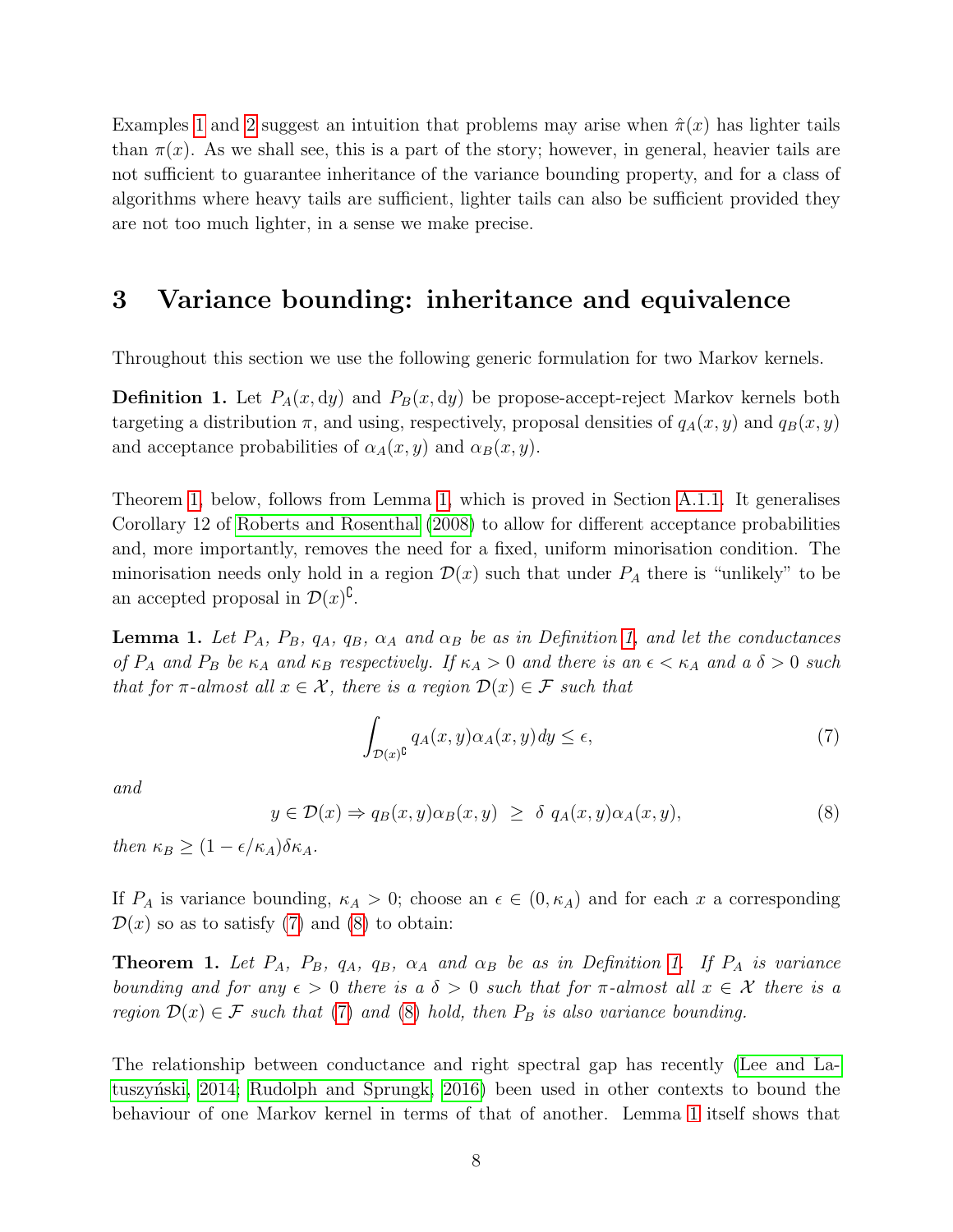Examples [1](#page-6-1) and [2](#page-6-2) suggest an intuition that problems may arise when  $\hat{\pi}(x)$  has lighter tails than  $\pi(x)$ . As we shall see, this is a part of the story; however, in general, heavier tails are not sufficient to guarantee inheritance of the variance bounding property, and for a class of algorithms where heavy tails are sufficient, lighter tails can also be sufficient provided they are not too much lighter, in a sense we make precise.

## <span id="page-7-0"></span>3 Variance bounding: inheritance and equivalence

Throughout this section we use the following generic formulation for two Markov kernels.

<span id="page-7-3"></span>**Definition 1.** Let  $P_A(x, dy)$  and  $P_B(x, dy)$  be propose-accept-reject Markov kernels both targeting a distribution  $\pi$ , and using, respectively, proposal densities of  $q_A(x, y)$  and  $q_B(x, y)$ and acceptance probabilities of  $\alpha_A(x, y)$  and  $\alpha_B(x, y)$ .

Theorem [1,](#page-7-1) below, follows from Lemma [1,](#page-7-2) which is proved in Section [A.1.1.](#page-21-8) It generalises Corollary 12 of [Roberts and Rosenthal](#page-20-4) [\(2008\)](#page-20-4) to allow for different acceptance probabilities and, more importantly, removes the need for a fixed, uniform minorisation condition. The minorisation needs only hold in a region  $\mathcal{D}(x)$  such that under  $P_A$  there is "unlikely" to be an accepted proposal in  $\mathcal{D}(x)^{\complement}$ .

<span id="page-7-2"></span>**Lemma 1.** Let  $P_A$ ,  $P_B$ ,  $q_A$ ,  $q_B$ ,  $\alpha_A$  and  $\alpha_B$  be as in Definition [1,](#page-7-3) and let the conductances of  $P_A$  and  $P_B$  be  $\kappa_A$  and  $\kappa_B$  respectively. If  $\kappa_A > 0$  and there is an  $\epsilon < \kappa_A$  and a  $\delta > 0$  such that for  $\pi$ -almost all  $x \in \mathcal{X}$ , there is a region  $\mathcal{D}(x) \in \mathcal{F}$  such that

<span id="page-7-4"></span>
$$
\int_{\mathcal{D}(x)^{\complement}} q_A(x, y) \alpha_A(x, y) dy \le \epsilon,\tag{7}
$$

and

<span id="page-7-5"></span>
$$
y \in \mathcal{D}(x) \Rightarrow q_B(x, y)\alpha_B(x, y) \ge \delta q_A(x, y)\alpha_A(x, y), \tag{8}
$$

then  $\kappa_B \geq (1 - \epsilon/\kappa_A)\delta \kappa_A$ .

If  $P_A$  is variance bounding,  $\kappa_A > 0$ ; choose an  $\epsilon \in (0, \kappa_A)$  and for each x a corresponding  $\mathcal{D}(x)$  so as to satisfy [\(7\)](#page-7-4) and [\(8\)](#page-7-5) to obtain:

<span id="page-7-1"></span>**Theorem [1.](#page-7-3)** Let  $P_A$ ,  $P_B$ ,  $q_A$ ,  $q_B$ ,  $\alpha_A$  and  $\alpha_B$  be as in Definition 1. If  $P_A$  is variance bounding and for any  $\epsilon > 0$  there is a  $\delta > 0$  such that for  $\pi$ -almost all  $x \in \mathcal{X}$  there is a region  $\mathcal{D}(x) \in \mathcal{F}$  such that [\(7\)](#page-7-4) and [\(8\)](#page-7-5) hold, then  $P_B$  is also variance bounding.

The relationship between conductance and right spectral gap has recently [\(Lee and La-](#page-20-13)tuszyński, 2014; [Rudolph and Sprungk, 2016\)](#page-21-9) been used in other contexts to bound the behaviour of one Markov kernel in terms of that of another. Lemma [1](#page-7-2) itself shows that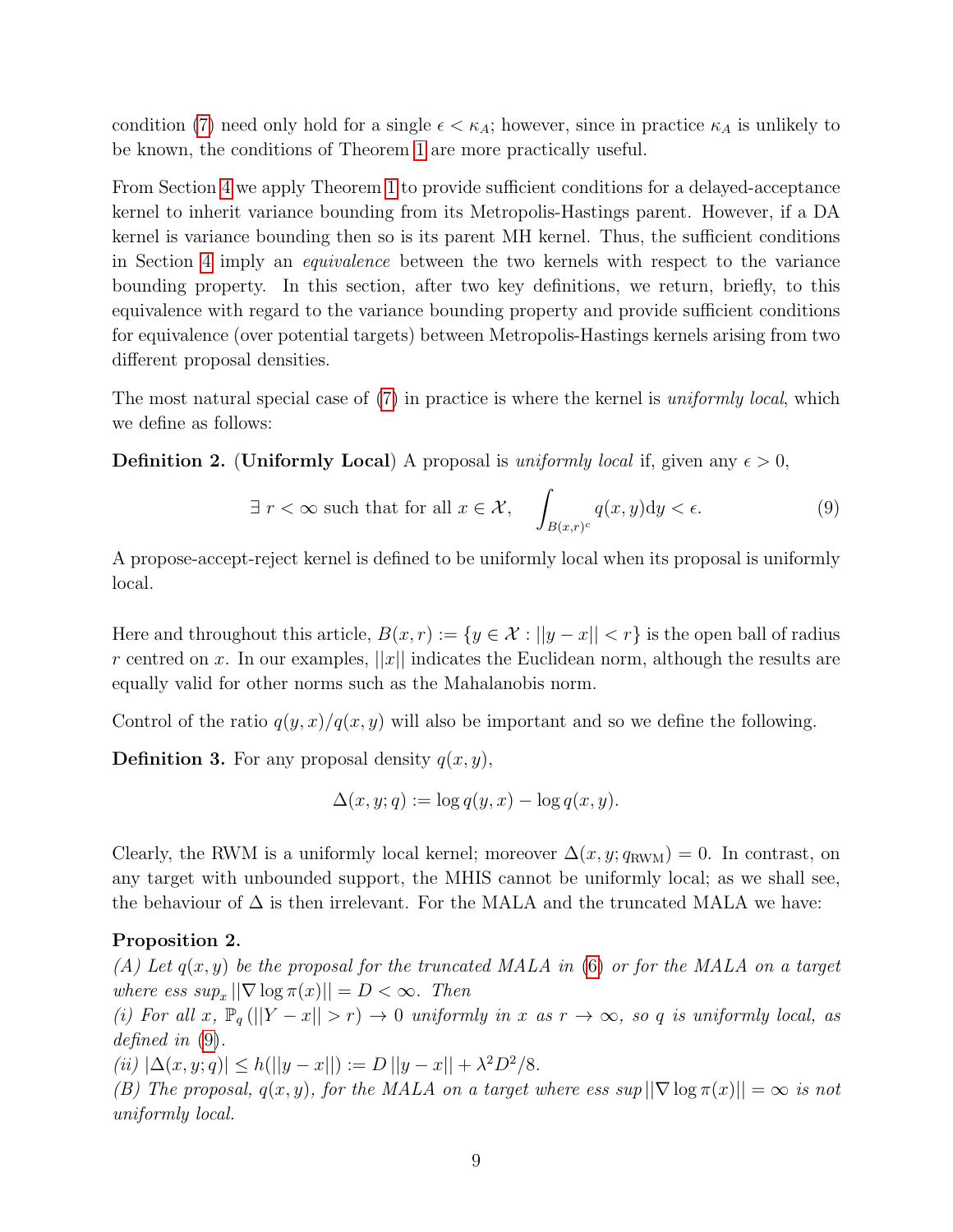condition [\(7\)](#page-7-4) need only hold for a single  $\epsilon < \kappa_A$ ; however, since in practice  $\kappa_A$  is unlikely to be known, the conditions of Theorem [1](#page-7-1) are more practically useful.

From Section [4](#page-9-0) we apply Theorem [1](#page-7-1) to provide sufficient conditions for a delayed-acceptance kernel to inherit variance bounding from its Metropolis-Hastings parent. However, if a DA kernel is variance bounding then so is its parent MH kernel. Thus, the sufficient conditions in Section [4](#page-9-0) imply an equivalence between the two kernels with respect to the variance bounding property. In this section, after two key definitions, we return, briefly, to this equivalence with regard to the variance bounding property and provide sufficient conditions for equivalence (over potential targets) between Metropolis-Hastings kernels arising from two different proposal densities.

The most natural special case of [\(7\)](#page-7-4) in practice is where the kernel is *uniformly local*, which we define as follows:

<span id="page-8-2"></span>**Definition 2.** (Uniformly Local) A proposal is *uniformly local* if, given any  $\epsilon > 0$ ,

<span id="page-8-0"></span>
$$
\exists r < \infty \text{ such that for all } x \in \mathcal{X}, \quad \int_{B(x,r)^c} q(x,y) \mathrm{d}y < \epsilon. \tag{9}
$$

A propose-accept-reject kernel is defined to be uniformly local when its proposal is uniformly local.

Here and throughout this article,  $B(x, r) := \{y \in \mathcal{X} : ||y - x|| < r\}$  is the open ball of radius r centred on x. In our examples,  $||x||$  indicates the Euclidean norm, although the results are equally valid for other norms such as the Mahalanobis norm.

Control of the ratio  $q(y, x)/q(x, y)$  will also be important and so we define the following.

**Definition 3.** For any proposal density  $q(x, y)$ ,

$$
\Delta(x, y; q) := \log q(y, x) - \log q(x, y).
$$

Clearly, the RWM is a uniformly local kernel; moreover  $\Delta(x, y; q_{\text{RWM}}) = 0$ . In contrast, on any target with unbounded support, the MHIS cannot be uniformly local; as we shall see, the behaviour of  $\Delta$  is then irrelevant. For the MALA and the truncated MALA we have:

### <span id="page-8-1"></span>Proposition 2.

(A) Let  $q(x, y)$  be the proposal for the truncated MALA in [\(6\)](#page-6-3) or for the MALA on a target where ess  $sup_x ||\nabla \log \pi(x)|| = D < \infty$ . Then

(i) For all x,  $\mathbb{P}_q (||Y-x|| > r) \to 0$  uniformly in x as  $r \to \infty$ , so q is uniformly local, as defined in [\(9\)](#page-8-0).

(ii)  $|\Delta(x, y; q)| \le h(||y - x||) := D ||y - x|| + \lambda^2 D^2/8.$ 

(B) The proposal,  $q(x, y)$ , for the MALA on a target where ess sup  $||\nabla \log \pi(x)|| = \infty$  is not uniformly local.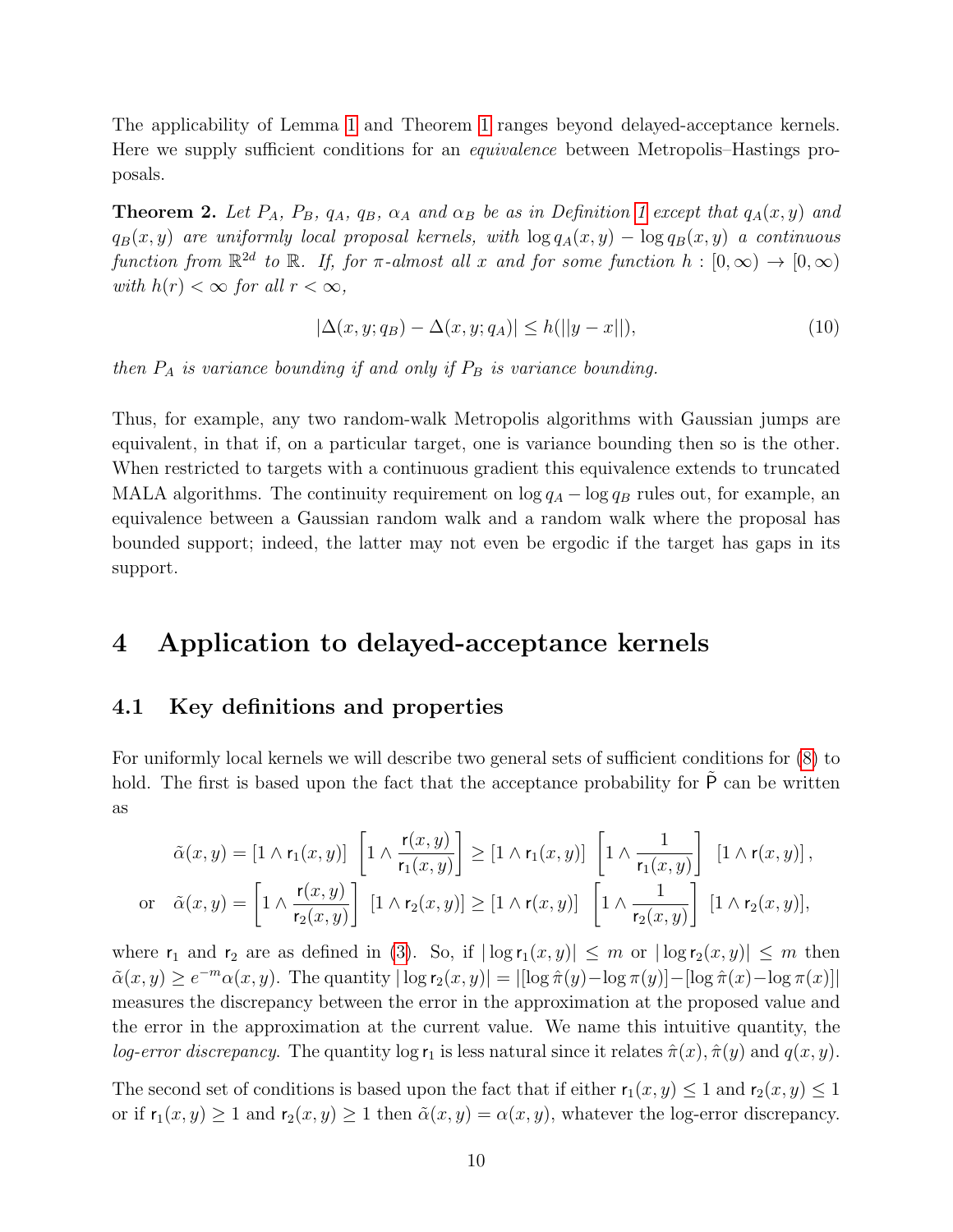The applicability of Lemma [1](#page-7-2) and Theorem [1](#page-7-1) ranges beyond delayed-acceptance kernels. Here we supply sufficient conditions for an equivalence between Metropolis–Hastings proposals.

<span id="page-9-1"></span>**Theorem 2.** Let  $P_A$ ,  $P_B$ ,  $q_A$ ,  $q_B$ ,  $\alpha_A$  and  $\alpha_B$  be as in Definition [1](#page-7-3) except that  $q_A(x, y)$  and  $q_B(x, y)$  are uniformly local proposal kernels, with  $\log q_A(x, y) - \log q_B(x, y)$  a continuous function from  $\mathbb{R}^{2d}$  to  $\mathbb{R}$ . If, for  $\pi$ -almost all x and for some function  $h : [0, \infty) \to [0, \infty)$ with  $h(r) < \infty$  for all  $r < \infty$ ,

$$
|\Delta(x, y; q_B) - \Delta(x, y; q_A)| \le h(||y - x||),\tag{10}
$$

then  $P_A$  is variance bounding if and only if  $P_B$  is variance bounding.

Thus, for example, any two random-walk Metropolis algorithms with Gaussian jumps are equivalent, in that if, on a particular target, one is variance bounding then so is the other. When restricted to targets with a continuous gradient this equivalence extends to truncated MALA algorithms. The continuity requirement on  $\log q_A - \log q_B$  rules out, for example, an equivalence between a Gaussian random walk and a random walk where the proposal has bounded support; indeed, the latter may not even be ergodic if the target has gaps in its support.

## <span id="page-9-0"></span>4 Application to delayed-acceptance kernels

## 4.1 Key definitions and properties

For uniformly local kernels we will describe two general sets of sufficient conditions for [\(8\)](#page-7-5) to hold. The first is based upon the fact that the acceptance probability for  $\tilde{P}$  can be written as

$$
\tilde{\alpha}(x,y) = \left[1 \wedge \mathsf{r}_1(x,y)\right] \left[1 \wedge \frac{\mathsf{r}(x,y)}{\mathsf{r}_1(x,y)}\right] \geq \left[1 \wedge \mathsf{r}_1(x,y)\right] \left[1 \wedge \frac{1}{\mathsf{r}_1(x,y)}\right] \left[1 \wedge \mathsf{r}(x,y)\right],
$$
\nor

\n
$$
\tilde{\alpha}(x,y) = \left[1 \wedge \frac{\mathsf{r}(x,y)}{\mathsf{r}_2(x,y)}\right] \left[1 \wedge \mathsf{r}_2(x,y)\right] \geq \left[1 \wedge \mathsf{r}(x,y)\right] \left[1 \wedge \frac{1}{\mathsf{r}_2(x,y)}\right] \left[1 \wedge \mathsf{r}_2(x,y)\right],
$$

where  $r_1$  and  $r_2$  are as defined in [\(3\)](#page-4-1). So, if  $|\log r_1(x, y)| \leq m$  or  $|\log r_2(x, y)| \leq m$  then  $\tilde{\alpha}(x, y) \geq e^{-m} \alpha(x, y)$ . The quantity  $|\log r_2(x, y)| = |[\log \hat{\pi}(y) - \log \pi(y)] - [\log \hat{\pi}(x) - \log \pi(x)]|$ measures the discrepancy between the error in the approximation at the proposed value and the error in the approximation at the current value. We name this intuitive quantity, the log-error discrepancy. The quantity log  $r_1$  is less natural since it relates  $\hat{\pi}(x), \hat{\pi}(y)$  and  $q(x, y)$ .

The second set of conditions is based upon the fact that if either  $r_1(x, y) \leq 1$  and  $r_2(x, y) \leq 1$ or if  $r_1(x, y) \ge 1$  and  $r_2(x, y) \ge 1$  then  $\tilde{\alpha}(x, y) = \alpha(x, y)$ , whatever the log-error discrepancy.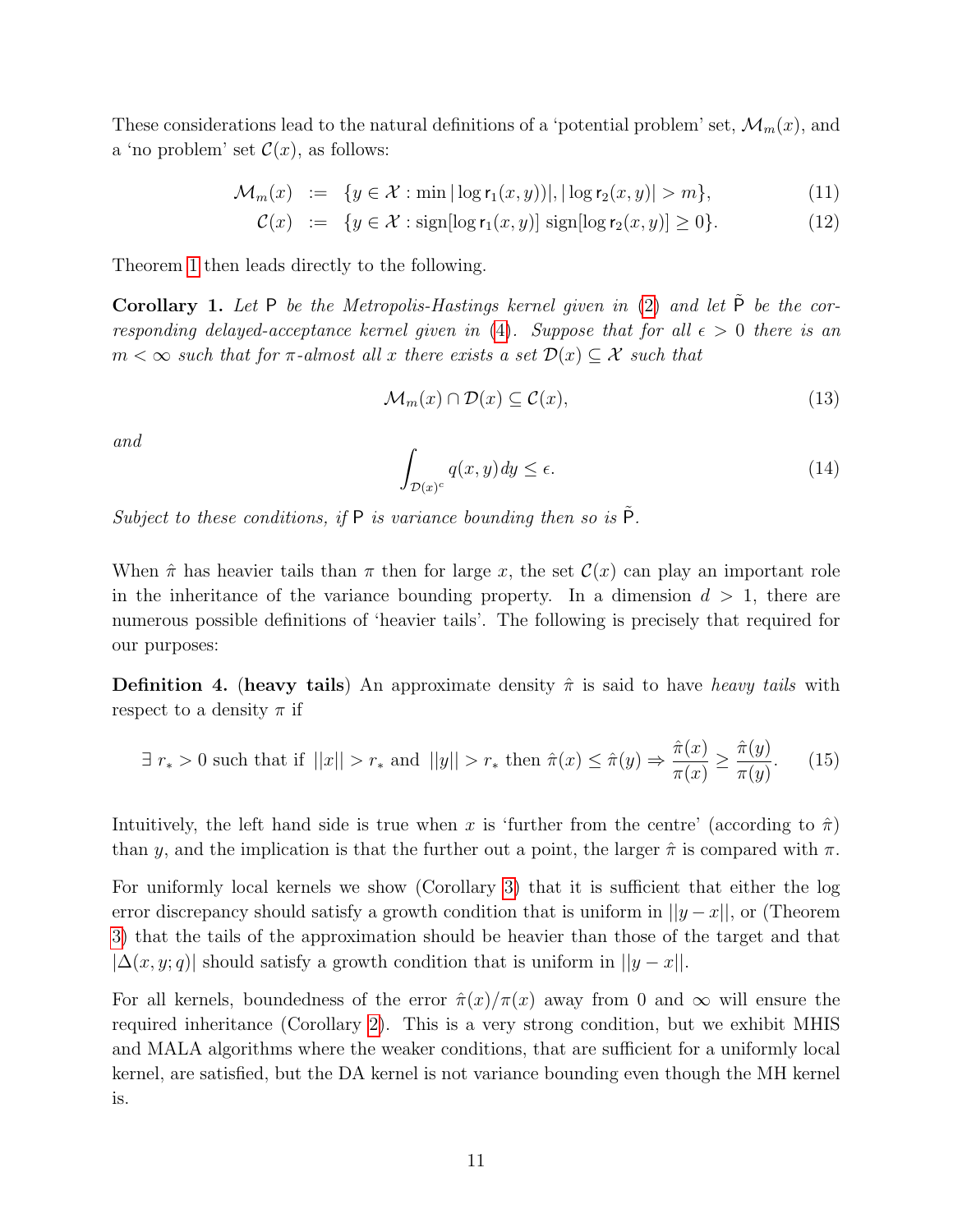These considerations lead to the natural definitions of a 'potential problem' set,  $\mathcal{M}_m(x)$ , and a 'no problem' set  $\mathcal{C}(x)$ , as follows:

$$
\mathcal{M}_m(x) := \{ y \in \mathcal{X} : \min|\log r_1(x, y))|, |\log r_2(x, y)| > m \},\tag{11}
$$

$$
\mathcal{C}(x) := \{ y \in \mathcal{X} : \text{sign}[\log \mathsf{r}_1(x, y)] \text{ sign}[\log \mathsf{r}_2(x, y)] \ge 0 \}. \tag{12}
$$

Theorem [1](#page-7-1) then leads directly to the following.

<span id="page-10-0"></span>Corollary 1. Let P be the Metropolis-Hastings kernel given in  $(2)$  and let  $\tilde{P}$  be the cor-responding delayed-acceptance kernel given in [\(4\)](#page-4-2). Suppose that for all  $\epsilon > 0$  there is an  $m < \infty$  such that for  $\pi$ -almost all x there exists a set  $\mathcal{D}(x) \subset \mathcal{X}$  such that

<span id="page-10-2"></span>
$$
\mathcal{M}_m(x) \cap \mathcal{D}(x) \subseteq \mathcal{C}(x),\tag{13}
$$

and

<span id="page-10-3"></span>
$$
\int_{\mathcal{D}(x)^c} q(x, y) dy \le \epsilon. \tag{14}
$$

Subject to these conditions, if  $P$  is variance bounding then so is  $\tilde{P}$ .

When  $\hat{\pi}$  has heavier tails than  $\pi$  then for large x, the set  $\mathcal{C}(x)$  can play an important role in the inheritance of the variance bounding property. In a dimension  $d > 1$ , there are numerous possible definitions of 'heavier tails'. The following is precisely that required for our purposes:

<span id="page-10-4"></span>**Definition 4.** (heavy tails) An approximate density  $\hat{\pi}$  is said to have heavy tails with respect to a density  $\pi$  if

<span id="page-10-1"></span>
$$
\exists r_* > 0 \text{ such that if } ||x|| > r_* \text{ and } ||y|| > r_* \text{ then } \hat{\pi}(x) \le \hat{\pi}(y) \Rightarrow \frac{\hat{\pi}(x)}{\pi(x)} \ge \frac{\hat{\pi}(y)}{\pi(y)}. \tag{15}
$$

Intuitively, the left hand side is true when x is 'further from the centre' (according to  $\hat{\pi}$ ) than y, and the implication is that the further out a point, the larger  $\hat{\pi}$  is compared with  $\pi$ .

For uniformly local kernels we show (Corollary [3\)](#page-11-1) that it is sufficient that either the log error discrepancy should satisfy a growth condition that is uniform in  $||y-x||$ , or (Theorem [3\)](#page-12-0) that the tails of the approximation should be heavier than those of the target and that  $|\Delta(x, y; q)|$  should satisfy a growth condition that is uniform in  $||y - x||$ .

For all kernels, boundedness of the error  $\hat{\pi}(x)/\pi(x)$  away from 0 and  $\infty$  will ensure the required inheritance (Corollary [2\)](#page-11-2). This is a very strong condition, but we exhibit MHIS and MALA algorithms where the weaker conditions, that are sufficient for a uniformly local kernel, are satisfied, but the DA kernel is not variance bounding even though the MH kernel is.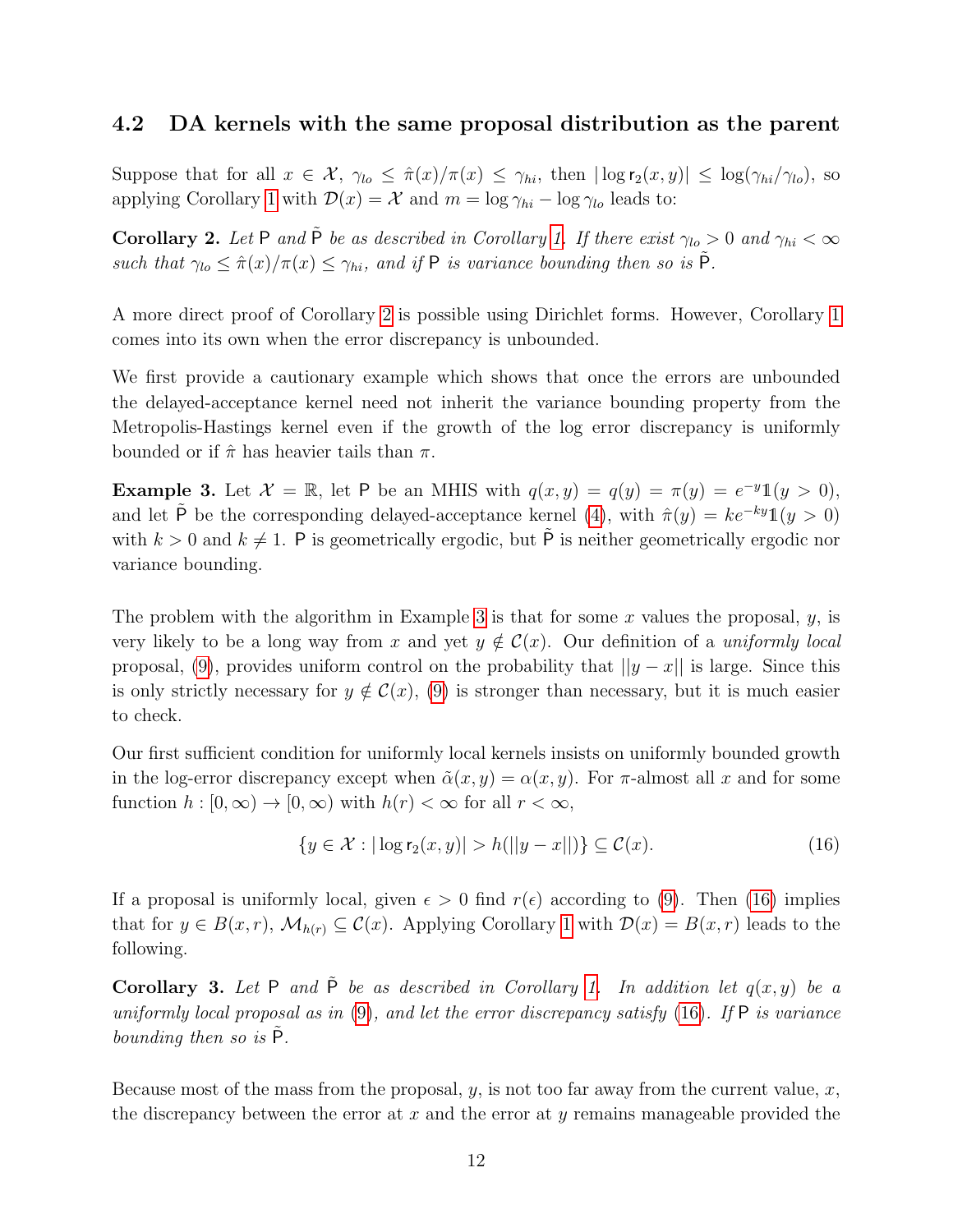## <span id="page-11-0"></span>4.2 DA kernels with the same proposal distribution as the parent

Suppose that for all  $x \in \mathcal{X}$ ,  $\gamma_{lo} \leq \hat{\pi}(x)/\pi(x) \leq \gamma_{hi}$ , then  $|\log r_2(x, y)| \leq \log(\gamma_{hi}/\gamma_{lo})$ , so applying Corollary [1](#page-10-0) with  $\mathcal{D}(x) = \mathcal{X}$  and  $m = \log \gamma_{hi} - \log \gamma_{lo}$  leads to:

<span id="page-11-2"></span>Corollary 2. Let P and  $\tilde{P}$  be as described in Corollary [1.](#page-10-0) If there exist  $\gamma_{lo} > 0$  and  $\gamma_{hi} < \infty$ such that  $\gamma_{lo} \leq \hat{\pi}(x)/\pi(x) \leq \gamma_{hi}$ , and if P is variance bounding then so is  $\tilde{P}$ .

A more direct proof of Corollary [2](#page-11-2) is possible using Dirichlet forms. However, Corollary [1](#page-10-0) comes into its own when the error discrepancy is unbounded.

We first provide a cautionary example which shows that once the errors are unbounded the delayed-acceptance kernel need not inherit the variance bounding property from the Metropolis-Hastings kernel even if the growth of the log error discrepancy is uniformly bounded or if  $\hat{\pi}$  has heavier tails than  $\pi$ .

<span id="page-11-3"></span>**Example 3.** Let  $\mathcal{X} = \mathbb{R}$ , let P be an MHIS with  $q(x, y) = q(y) = \pi(y) = e^{-y} \mathbb{1}(y > 0)$ , and let  $\tilde{P}$  be the corresponding delayed-acceptance kernel [\(4\)](#page-4-2), with  $\hat{\pi}(y) = ke^{-ky}\mathbb{1}(y > 0)$ with  $k > 0$  and  $k \neq 1$ . P is geometrically ergodic, but  $\tilde{P}$  is neither geometrically ergodic nor variance bounding.

The problem with the algorithm in Example [3](#page-11-3) is that for some x values the proposal,  $y$ , is very likely to be a long way from x and yet  $y \notin C(x)$ . Our definition of a uniformly local proposal, [\(9\)](#page-8-0), provides uniform control on the probability that  $||y - x||$  is large. Since this is only strictly necessary for  $y \notin \mathcal{C}(x)$ , [\(9\)](#page-8-0) is stronger than necessary, but it is much easier to check.

Our first sufficient condition for uniformly local kernels insists on uniformly bounded growth in the log-error discrepancy except when  $\tilde{\alpha}(x, y) = \alpha(x, y)$ . For  $\pi$ -almost all x and for some function  $h : [0, \infty) \to [0, \infty)$  with  $h(r) < \infty$  for all  $r < \infty$ ,

<span id="page-11-4"></span>
$$
\{y \in \mathcal{X} : |\log \mathsf{r}_2(x, y)| > h(||y - x||)\} \subseteq \mathcal{C}(x). \tag{16}
$$

If a proposal is uniformly local, given  $\epsilon > 0$  find  $r(\epsilon)$  according to [\(9\)](#page-8-0). Then [\(16\)](#page-11-4) implies that for  $y \in B(x,r)$ ,  $\mathcal{M}_{h(r)} \subseteq \mathcal{C}(x)$ . Applying Corollary [1](#page-10-0) with  $\mathcal{D}(x) = B(x,r)$  leads to the following.

<span id="page-11-1"></span>Corollary 3. Let P and  $\tilde{P}$  be as described in Corollary [1.](#page-10-0) In addition let  $q(x, y)$  be a uniformly local proposal as in  $(9)$ , and let the error discrepancy satisfy  $(16)$ . If P is variance bounding then so is  $P$ .

Because most of the mass from the proposal,  $y$ , is not too far away from the current value,  $x$ , the discrepancy between the error at  $x$  and the error at  $y$  remains manageable provided the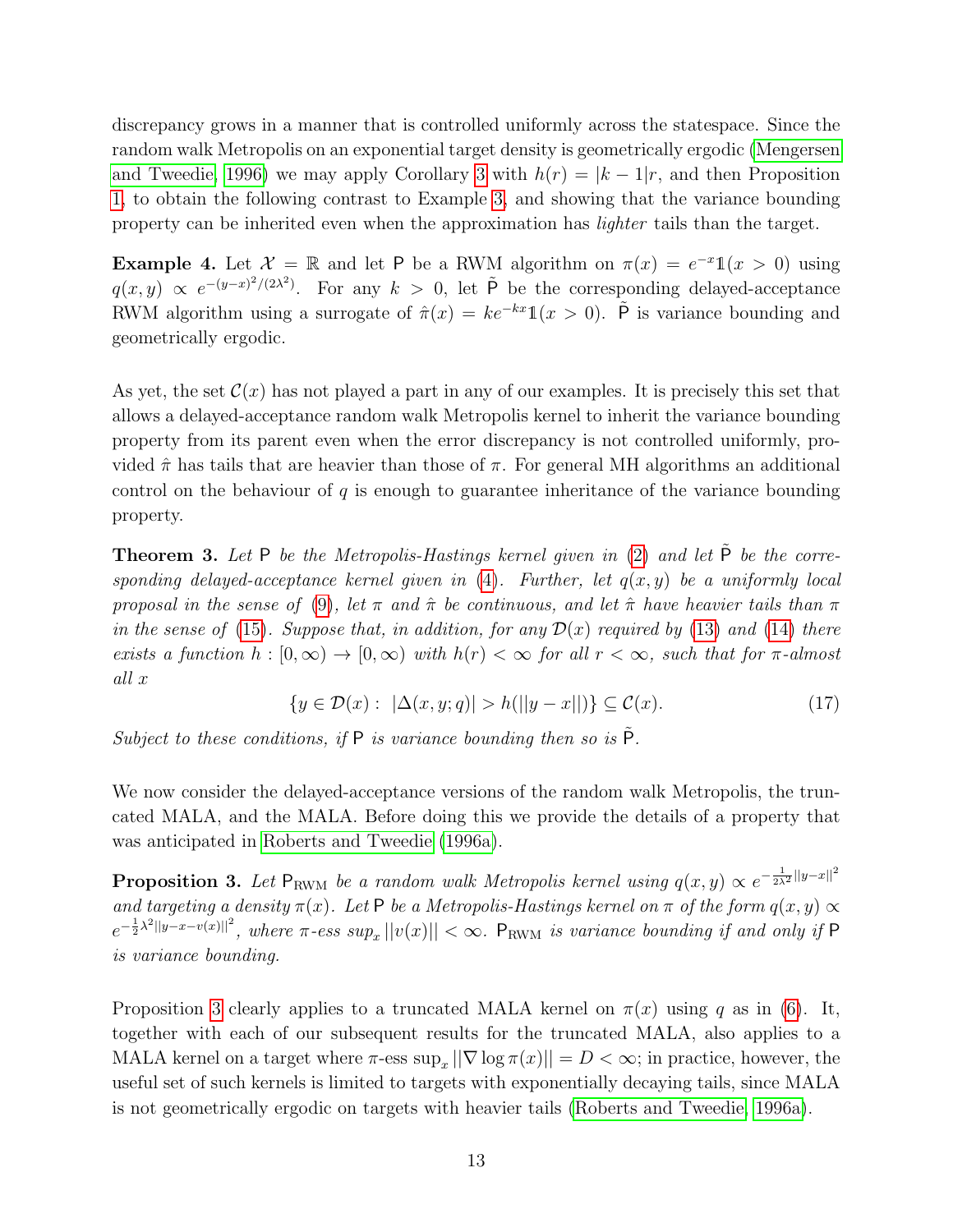discrepancy grows in a manner that is controlled uniformly across the statespace. Since the random walk Metropolis on an exponential target density is geometrically ergodic [\(Mengersen](#page-20-11) [and Tweedie, 1996\)](#page-20-11) we may apply Corollary [3](#page-11-1) with  $h(r) = |k - 1|r$ , and then Proposition [1,](#page-6-0) to obtain the following contrast to Example [3,](#page-11-3) and showing that the variance bounding property can be inherited even when the approximation has lighter tails than the target.

<span id="page-12-2"></span>**Example 4.** Let  $\mathcal{X} = \mathbb{R}$  and let P be a RWM algorithm on  $\pi(x) = e^{-x} \mathbb{1}(x > 0)$  using  $q(x, y) \propto e^{-(y-x)^2/(2\lambda^2)}$ . For any  $k > 0$ , let  $\tilde{P}$  be the corresponding delayed-acceptance RWM algorithm using a surrogate of  $\hat{\pi}(x) = ke^{-kx}\mathbb{1}(x > 0)$ .  $\tilde{P}$  is variance bounding and geometrically ergodic.

As yet, the set  $\mathcal{C}(x)$  has not played a part in any of our examples. It is precisely this set that allows a delayed-acceptance random walk Metropolis kernel to inherit the variance bounding property from its parent even when the error discrepancy is not controlled uniformly, provided  $\hat{\pi}$  has tails that are heavier than those of  $\pi$ . For general MH algorithms an additional control on the behaviour of  $q$  is enough to guarantee inheritance of the variance bounding property.

<span id="page-12-0"></span>**Theorem 3.** Let P be the Metropolis-Hastings kernel given in  $(2)$  and let  $\tilde{P}$  be the corresponding delayed-acceptance kernel given in  $(4)$ . Further, let  $q(x, y)$  be a uniformly local proposal in the sense of [\(9\)](#page-8-0), let  $\pi$  and  $\hat{\pi}$  be continuous, and let  $\hat{\pi}$  have heavier tails than  $\pi$ in the sense of [\(15\)](#page-10-1). Suppose that, in addition, for any  $\mathcal{D}(x)$  required by [\(13\)](#page-10-2) and [\(14\)](#page-10-3) there exists a function  $h : [0, \infty) \to [0, \infty)$  with  $h(r) < \infty$  for all  $r < \infty$ , such that for  $\pi$ -almost all x

<span id="page-12-3"></span>
$$
\{y \in \mathcal{D}(x): |\Delta(x, y; q)| > h(||y - x||)\} \subseteq \mathcal{C}(x). \tag{17}
$$

Subject to these conditions, if  $P$  is variance bounding then so is  $\tilde{P}$ .

We now consider the delayed-acceptance versions of the random walk Metropolis, the truncated MALA, and the MALA. Before doing this we provide the details of a property that was anticipated in [Roberts and Tweedie](#page-20-12) [\(1996a\)](#page-20-12).

<span id="page-12-1"></span>**Proposition 3.** Let  $P_{\text{RWM}}$  be a random walk Metropolis kernel using  $q(x, y) \propto e^{-\frac{1}{2\lambda^2}||y-x||^2}$ and targeting a density  $\pi(x)$ . Let P be a Metropolis-Hastings kernel on  $\pi$  of the form  $q(x, y) \propto$  $e^{-\frac{1}{2}\lambda^2||y-x-v(x)||^2}$ , where  $\pi$ -ess sup<sub>x</sub>  $||v(x)|| < \infty$ . P<sub>RWM</sub> is variance bounding if and only if P is variance bounding.

Proposition [3](#page-12-1) clearly applies to a truncated MALA kernel on  $\pi(x)$  using q as in [\(6\)](#page-6-3). It, together with each of our subsequent results for the truncated MALA, also applies to a MALA kernel on a target where  $\pi$ -ess  $\sup_x ||\nabla \log \pi(x)|| = D < \infty$ ; in practice, however, the useful set of such kernels is limited to targets with exponentially decaying tails, since MALA is not geometrically ergodic on targets with heavier tails [\(Roberts and Tweedie, 1996a\)](#page-20-12).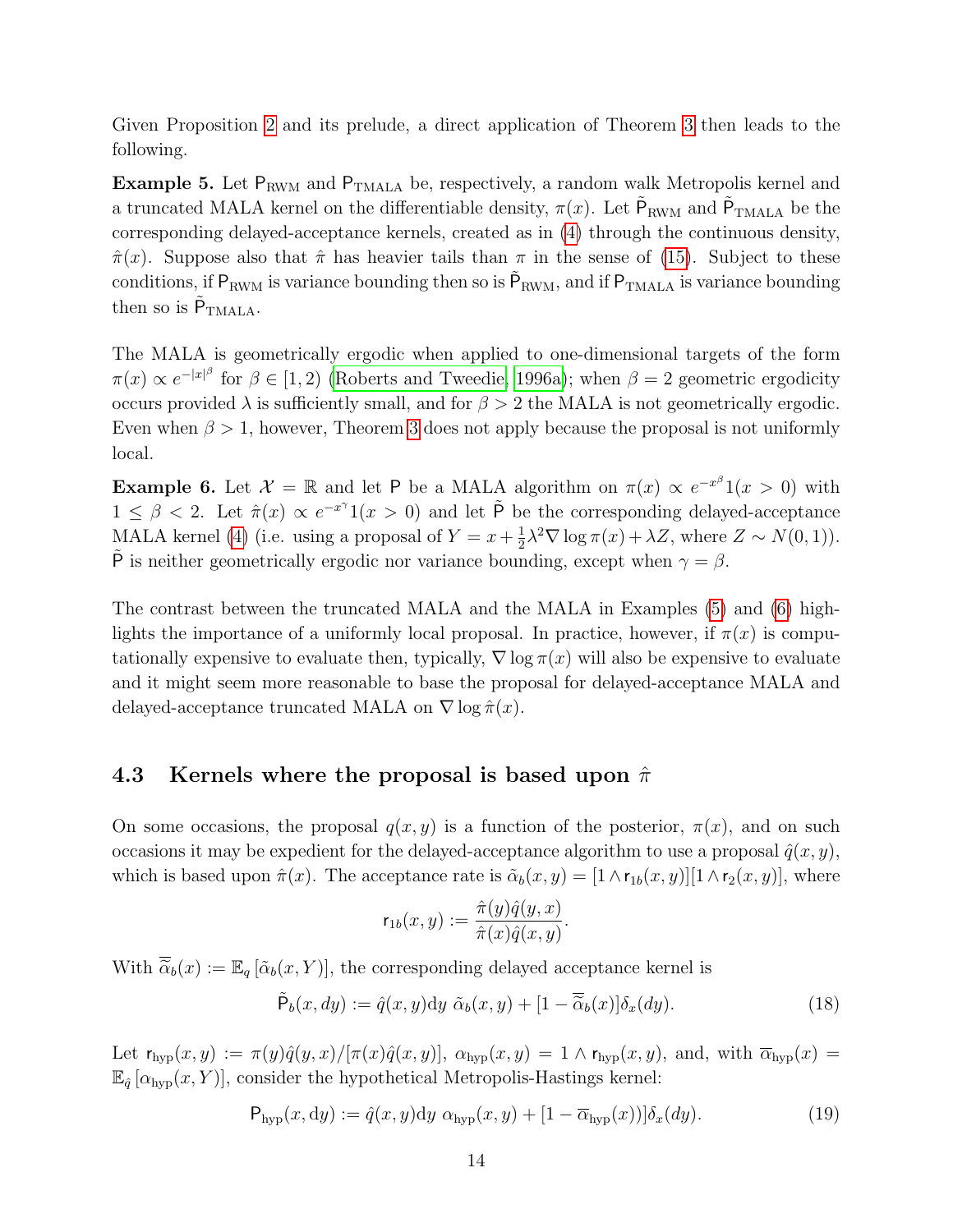Given Proposition [2](#page-8-1) and its prelude, a direct application of Theorem [3](#page-12-0) then leads to the following.

<span id="page-13-0"></span>Example 5. Let  $P_{\text{RWM}}$  and  $P_{\text{TMALA}}$  be, respectively, a random walk Metropolis kernel and a truncated MALA kernel on the differentiable density,  $\pi(x)$ . Let  $\tilde{P}_{RWM}$  and  $\tilde{P}_{TMALA}$  be the corresponding delayed-acceptance kernels, created as in [\(4\)](#page-4-2) through the continuous density,  $\hat{\pi}(x)$ . Suppose also that  $\hat{\pi}$  has heavier tails than  $\pi$  in the sense of [\(15\)](#page-10-1). Subject to these conditions, if  $P_{\text{RWM}}$  is variance bounding then so is  $\tilde{P}_{\text{RWM}}$ , and if  $P_{\text{TMALA}}$  is variance bounding then so is  $\tilde{P}_{\text{TMALA}}$ .

The MALA is geometrically ergodic when applied to one-dimensional targets of the form  $\pi(x) \propto e^{-|x|^\beta}$  for  $\beta \in [1,2)$  [\(Roberts and Tweedie, 1996a\)](#page-20-12); when  $\beta = 2$  geometric ergodicity occurs provided  $\lambda$  is sufficiently small, and for  $\beta > 2$  the MALA is not geometrically ergodic. Even when  $\beta > 1$ , however, Theorem [3](#page-12-0) does not apply because the proposal is not uniformly local.

<span id="page-13-1"></span>**Example 6.** Let  $\mathcal{X} = \mathbb{R}$  and let P be a MALA algorithm on  $\pi(x) \propto e^{-x^{\beta}}1(x > 0)$  with  $1 \leq \beta < 2$ . Let  $\hat{\pi}(x) \propto e^{-x^{\gamma}} 1(x > 0)$  and let  $\tilde{P}$  be the corresponding delayed-acceptance MALA kernel [\(4\)](#page-4-2) (i.e. using a proposal of  $Y = x + \frac{1}{2}$  $\frac{1}{2}\lambda^2 \nabla \log \pi(x) + \lambda Z$ , where  $Z \sim N(0, 1)$ ).  $\tilde{P}$  is neither geometrically ergodic nor variance bounding, except when  $\gamma = \beta$ .

The contrast between the truncated MALA and the MALA in Examples [\(5\)](#page-13-0) and [\(6\)](#page-13-1) highlights the importance of a uniformly local proposal. In practice, however, if  $\pi(x)$  is computationally expensive to evaluate then, typically,  $\nabla$  log  $\pi(x)$  will also be expensive to evaluate and it might seem more reasonable to base the proposal for delayed-acceptance MALA and delayed-acceptance truncated MALA on  $\nabla$  log  $\hat{\pi}(x)$ .

### 4.3 Kernels where the proposal is based upon  $\hat{\pi}$

On some occasions, the proposal  $q(x, y)$  is a function of the posterior,  $\pi(x)$ , and on such occasions it may be expedient for the delayed-acceptance algorithm to use a proposal  $\hat{q}(x, y)$ , which is based upon  $\hat{\pi}(x)$ . The acceptance rate is  $\tilde{\alpha}_b(x, y) = [1 \wedge r_{1b}(x, y)][1 \wedge r_2(x, y)]$ , where

$$
\mathsf{r}_{1b}(x,y) := \frac{\hat{\pi}(y)\hat{q}(y,x)}{\hat{\pi}(x)\hat{q}(x,y)}.
$$

With  $\overline{\tilde{\alpha}}_b(x) := \mathbb{E}_q[\tilde{\alpha}_b(x, Y)]$ , the corresponding delayed acceptance kernel is

<span id="page-13-2"></span>
$$
\tilde{\mathsf{P}}_b(x, dy) := \hat{q}(x, y) dy \; \tilde{\alpha}_b(x, y) + [1 - \overline{\tilde{\alpha}}_b(x)] \delta_x(dy). \tag{18}
$$

Let  $r_{\text{hyp}}(x, y) := \pi(y)\hat{q}(y, x)/[\pi(x)\hat{q}(x, y)], \ \alpha_{\text{hyp}}(x, y) = 1 \wedge r_{\text{hyp}}(x, y), \text{ and, with } \overline{\alpha}_{\text{hyp}}(x) =$  $\mathbb{E}_{\hat{q}} [\alpha_{\text{hyp}}(x, Y)]$ , consider the hypothetical Metropolis-Hastings kernel:

$$
\mathsf{P}_{\text{hyp}}(x, dy) := \hat{q}(x, y) dy \; \alpha_{\text{hyp}}(x, y) + [1 - \overline{\alpha}_{\text{hyp}}(x))] \delta_x(dy). \tag{19}
$$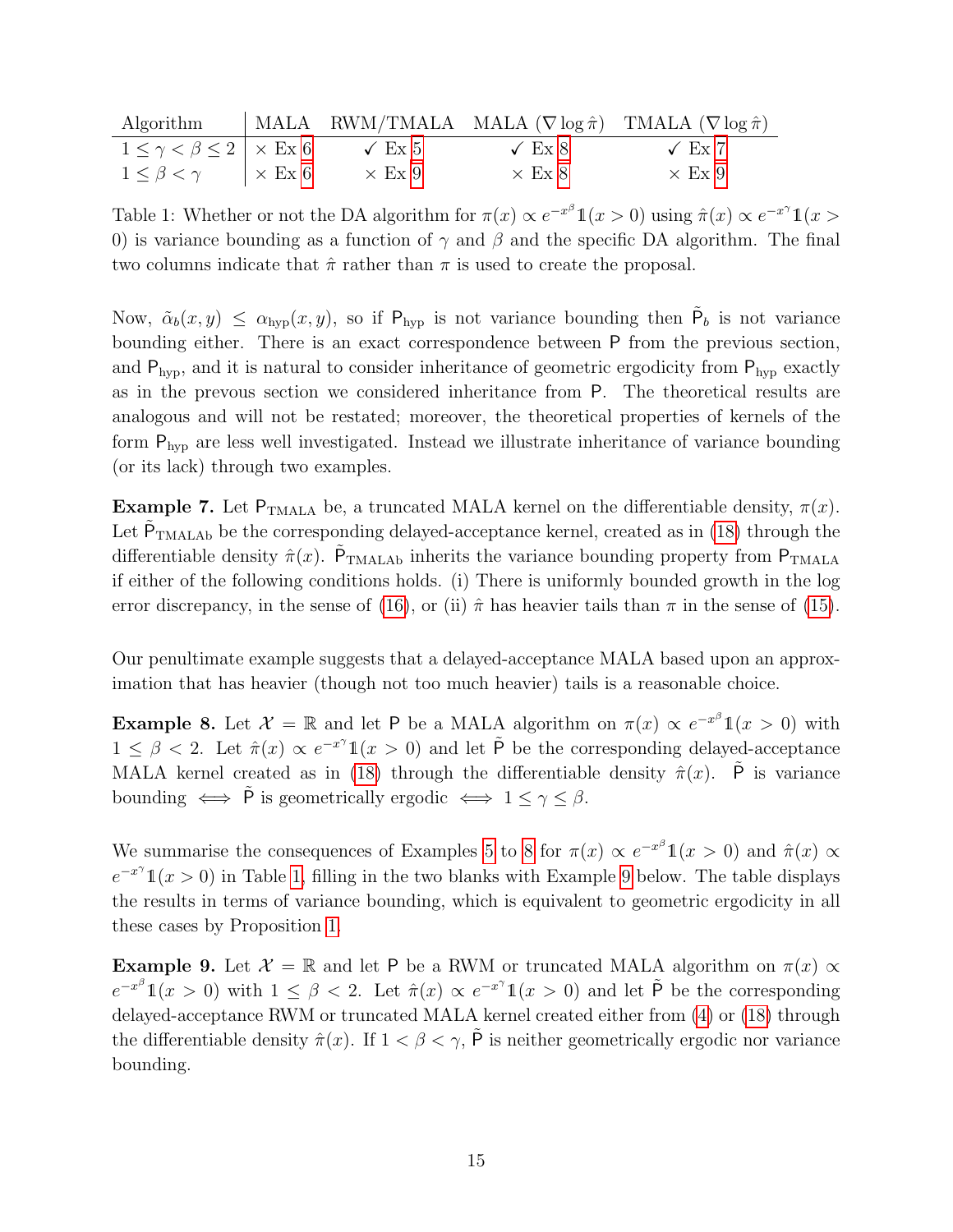|                                                         |               |               | Algorithm   MALA RWM/TMALA MALA $(\nabla \log \hat{\pi})$ TMALA $(\nabla \log \hat{\pi})$ |
|---------------------------------------------------------|---------------|---------------|-------------------------------------------------------------------------------------------|
| $1 \leq \gamma < \beta \leq 2 \mid \times \text{Ex } 6$ | $\sqrt{Ex 5}$ | $\sqrt{Ex 8}$ | $\sqrt{Ex7}$                                                                              |
| $1 \leq \beta < \gamma$ $\vert \times \to 6$            | $\times$ Ex 9 | $\times$ Ex 8 | $\times$ Ex 9                                                                             |

<span id="page-14-3"></span>Table 1: Whether or not the DA algorithm for  $\pi(x) \propto e^{-x^{\beta}} \mathbb{1}(x > 0)$  using  $\hat{\pi}(x) \propto e^{-x^{\gamma}} \mathbb{1}(x > 0)$ 0) is variance bounding as a function of  $\gamma$  and  $\beta$  and the specific DA algorithm. The final two columns indicate that  $\hat{\pi}$  rather than  $\pi$  is used to create the proposal.

Now,  $\tilde{\alpha}_b(x,y) \leq \alpha_{\rm hyp}(x,y)$ , so if  $P_{\rm hyp}$  is not variance bounding then  $\tilde{P}_b$  is not variance bounding either. There is an exact correspondence between P from the previous section, and  $P_{\text{hyp}}$ , and it is natural to consider inheritance of geometric ergodicity from  $P_{\text{hyp}}$  exactly as in the prevous section we considered inheritance from P. The theoretical results are analogous and will not be restated; moreover, the theoretical properties of kernels of the form  $P_{\text{hyp}}$  are less well investigated. Instead we illustrate inheritance of variance bounding (or its lack) through two examples.

<span id="page-14-1"></span>Example 7. Let  $P_{TMALA}$  be, a truncated MALA kernel on the differentiable density,  $\pi(x)$ . Let  $\tilde{P}_{\text{TMALAb}}$  be the corresponding delayed-acceptance kernel, created as in [\(18\)](#page-13-2) through the differentiable density  $\hat{\pi}(x)$ .  $\tilde{P}_{\text{TMALAb}}$  inherits the variance bounding property from  $P_{\text{TMALA}}$ if either of the following conditions holds. (i) There is uniformly bounded growth in the log error discrepancy, in the sense of [\(16\)](#page-11-4), or (ii)  $\hat{\pi}$  has heavier tails than  $\pi$  in the sense of [\(15\)](#page-10-1).

Our penultimate example suggests that a delayed-acceptance MALA based upon an approximation that has heavier (though not too much heavier) tails is a reasonable choice.

<span id="page-14-0"></span>**Example 8.** Let  $\mathcal{X} = \mathbb{R}$  and let P be a MALA algorithm on  $\pi(x) \propto e^{-x^{\beta}} \mathbb{1}(x > 0)$  with  $1 \leq \beta < 2$ . Let  $\hat{\pi}(x) \propto e^{-x^{\gamma}} \mathbb{1}(x > 0)$  and let  $\tilde{P}$  be the corresponding delayed-acceptance MALA kernel created as in [\(18\)](#page-13-2) through the differentiable density  $\hat{\pi}(x)$ . P is variance bounding  $\iff \tilde{P}$  is geometrically ergodic  $\iff 1 \leq \gamma \leq \beta$ .

We summarise the consequences of Examples [5](#page-13-0) to [8](#page-14-0) for  $\pi(x) \propto e^{-x^{\beta}} \mathbb{1}(x > 0)$  and  $\hat{\pi}(x) \propto$  $e^{-x^{\gamma}}1(x>0)$  in Table [1,](#page-14-3) filling in the two blanks with Example [9](#page-14-2) below. The table displays the results in terms of variance bounding, which is equivalent to geometric ergodicity in all these cases by Proposition [1.](#page-6-0)

<span id="page-14-2"></span>**Example 9.** Let  $\mathcal{X} = \mathbb{R}$  and let P be a RWM or truncated MALA algorithm on  $\pi(x) \propto$  $e^{-x^{\beta}}1(x > 0)$  with  $1 \leq \beta < 2$ . Let  $\hat{\pi}(x) \propto e^{-x^{\gamma}}1(x > 0)$  and let  $\tilde{P}$  be the corresponding delayed-acceptance RWM or truncated MALA kernel created either from [\(4\)](#page-4-2) or [\(18\)](#page-13-2) through the differentiable density  $\hat{\pi}(x)$ . If  $1 < \beta < \gamma$ ,  $\tilde{P}$  is neither geometrically ergodic nor variance bounding.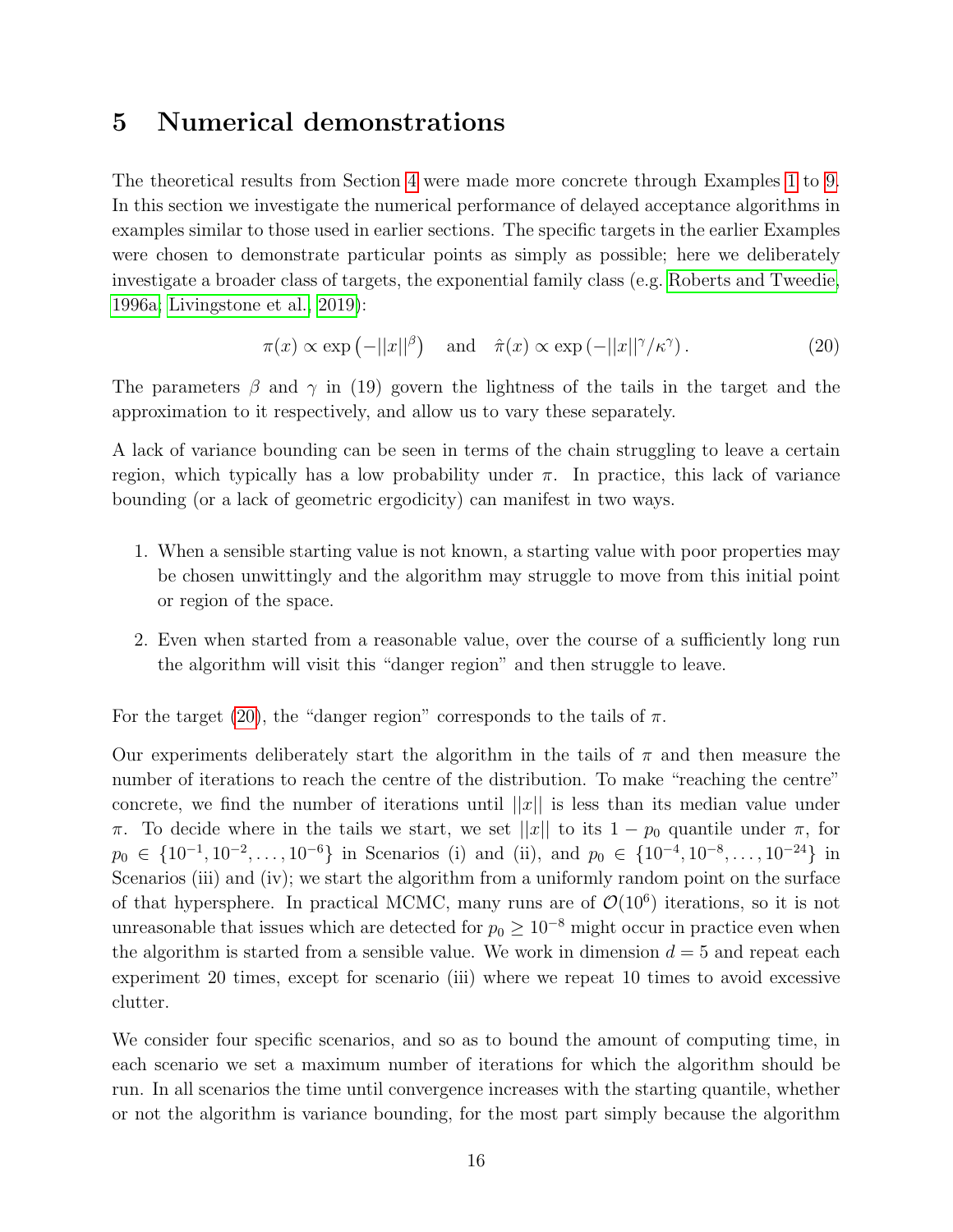## <span id="page-15-0"></span>5 Numerical demonstrations

The theoretical results from Section [4](#page-9-0) were made more concrete through Examples [1](#page-6-1) to [9.](#page-14-2) In this section we investigate the numerical performance of delayed acceptance algorithms in examples similar to those used in earlier sections. The specific targets in the earlier Examples were chosen to demonstrate particular points as simply as possible; here we deliberately investigate a broader class of targets, the exponential family class (e.g. [Roberts and Tweedie,](#page-20-12) [1996a;](#page-20-12) [Livingstone et al., 2019\)](#page-20-14):

<span id="page-15-1"></span>
$$
\pi(x) \propto \exp\left(-||x||^{\beta}\right) \quad \text{and} \quad \hat{\pi}(x) \propto \exp\left(-||x||^{\gamma}/\kappa^{\gamma}\right). \tag{20}
$$

The parameters  $\beta$  and  $\gamma$  in (19) govern the lightness of the tails in the target and the approximation to it respectively, and allow us to vary these separately.

A lack of variance bounding can be seen in terms of the chain struggling to leave a certain region, which typically has a low probability under  $\pi$ . In practice, this lack of variance bounding (or a lack of geometric ergodicity) can manifest in two ways.

- 1. When a sensible starting value is not known, a starting value with poor properties may be chosen unwittingly and the algorithm may struggle to move from this initial point or region of the space.
- 2. Even when started from a reasonable value, over the course of a sufficiently long run the algorithm will visit this "danger region" and then struggle to leave.

For the target [\(20\)](#page-15-1), the "danger region" corresponds to the tails of  $\pi$ .

Our experiments deliberately start the algorithm in the tails of  $\pi$  and then measure the number of iterations to reach the centre of the distribution. To make "reaching the centre" concrete, we find the number of iterations until  $||x||$  is less than its median value under π. To decide where in the tails we start, we set ||x|| to its  $1 - p_0$  quantile under π, for  $p_0 \in \{10^{-1}, 10^{-2}, \ldots, 10^{-6}\}\$ in Scenarios (i) and (ii), and  $p_0 \in \{10^{-4}, 10^{-8}, \ldots, 10^{-24}\}\$ in Scenarios (iii) and (iv); we start the algorithm from a uniformly random point on the surface of that hypersphere. In practical MCMC, many runs are of  $\mathcal{O}(10^6)$  iterations, so it is not unreasonable that issues which are detected for  $p_0 \geq 10^{-8}$  might occur in practice even when the algorithm is started from a sensible value. We work in dimension  $d = 5$  and repeat each experiment 20 times, except for scenario (iii) where we repeat 10 times to avoid excessive clutter.

We consider four specific scenarios, and so as to bound the amount of computing time, in each scenario we set a maximum number of iterations for which the algorithm should be run. In all scenarios the time until convergence increases with the starting quantile, whether or not the algorithm is variance bounding, for the most part simply because the algorithm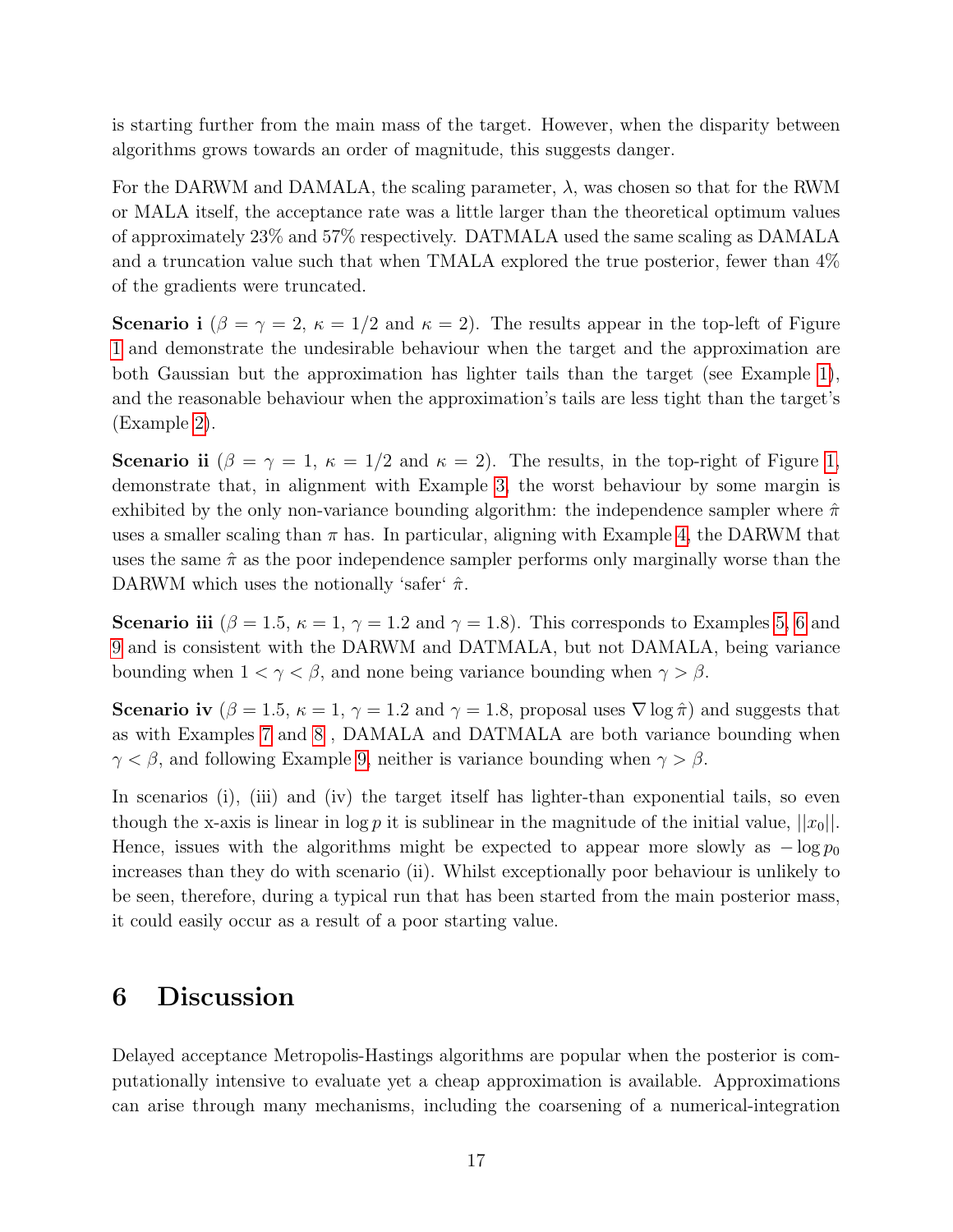is starting further from the main mass of the target. However, when the disparity between algorithms grows towards an order of magnitude, this suggests danger.

For the DARWM and DAMALA, the scaling parameter,  $\lambda$ , was chosen so that for the RWM or MALA itself, the acceptance rate was a little larger than the theoretical optimum values of approximately 23% and 57% respectively. DATMALA used the same scaling as DAMALA and a truncation value such that when TMALA explored the true posterior, fewer than 4% of the gradients were truncated.

Scenario i  $(\beta = \gamma = 2, \kappa = 1/2$  and  $\kappa = 2)$ . The results appear in the top-left of Figure [1](#page-17-0) and demonstrate the undesirable behaviour when the target and the approximation are both Gaussian but the approximation has lighter tails than the target (see Example [1\)](#page-6-1), and the reasonable behaviour when the approximation's tails are less tight than the target's (Example [2\)](#page-6-2).

Scenario ii  $(\beta = \gamma = 1, \kappa = 1/2 \text{ and } \kappa = 2)$  $(\beta = \gamma = 1, \kappa = 1/2 \text{ and } \kappa = 2)$  $(\beta = \gamma = 1, \kappa = 1/2 \text{ and } \kappa = 2)$ . The results, in the top-right of Figure 1, demonstrate that, in alignment with Example [3,](#page-11-3) the worst behaviour by some margin is exhibited by the only non-variance bounding algorithm: the independence sampler where  $\hat{\pi}$ uses a smaller scaling than  $\pi$  has. In particular, aligning with Example [4,](#page-12-2) the DARWM that uses the same  $\hat{\pi}$  as the poor independence sampler performs only marginally worse than the DARWM which uses the notionally 'safer'  $\hat{\pi}$ .

**Scenario iii** ( $\beta = 1.5$ ,  $\kappa = 1$ ,  $\gamma = 1.2$  and  $\gamma = 1.8$ ). This corresponds to Examples [5,](#page-13-0) [6](#page-13-1) and [9](#page-14-2) and is consistent with the DARWM and DATMALA, but not DAMALA, being variance bounding when  $1 < \gamma < \beta$ , and none being variance bounding when  $\gamma > \beta$ .

Scenario iv ( $\beta = 1.5$ ,  $\kappa = 1$ ,  $\gamma = 1.2$  and  $\gamma = 1.8$ , proposal uses  $\nabla \log \hat{\pi}$ ) and suggests that as with Examples [7](#page-14-1) and [8](#page-14-0) , DAMALA and DATMALA are both variance bounding when  $\gamma < \beta$ , and following Example [9,](#page-14-2) neither is variance bounding when  $\gamma > \beta$ .

In scenarios (i), (iii) and (iv) the target itself has lighter-than exponential tails, so even though the x-axis is linear in log p it is sublinear in the magnitude of the initial value,  $||x_0||$ . Hence, issues with the algorithms might be expected to appear more slowly as  $-\log p_0$ increases than they do with scenario (ii). Whilst exceptionally poor behaviour is unlikely to be seen, therefore, during a typical run that has been started from the main posterior mass, it could easily occur as a result of a poor starting value.

## 6 Discussion

Delayed acceptance Metropolis-Hastings algorithms are popular when the posterior is computationally intensive to evaluate yet a cheap approximation is available. Approximations can arise through many mechanisms, including the coarsening of a numerical-integration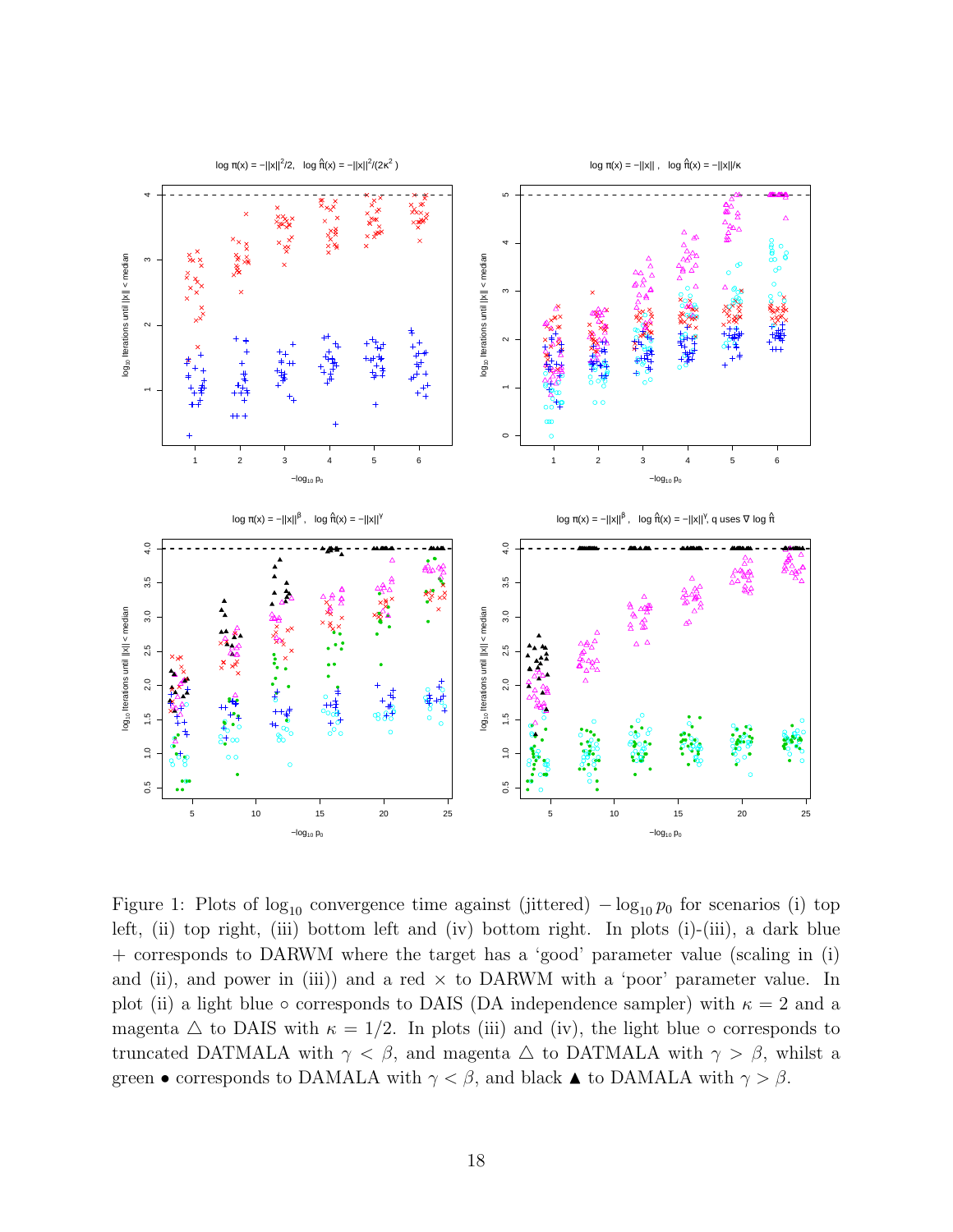

<span id="page-17-0"></span>Figure 1: Plots of  $log_{10}$  convergence time against (jittered)  $- log_{10} p_0$  for scenarios (i) top left, (ii) top right, (iii) bottom left and (iv) bottom right. In plots (i)-(iii), a dark blue + corresponds to DARWM where the target has a 'good' parameter value (scaling in (i) and (ii), and power in (iii)) and a red  $\times$  to DARWM with a 'poor' parameter value. In plot (ii) a light blue  $\circ$  corresponds to DAIS (DA independence sampler) with  $\kappa = 2$  and a magenta  $\triangle$  to DAIS with  $\kappa = 1/2$ . In plots (iii) and (iv), the light blue  $\circ$  corresponds to truncated DATMALA with  $\gamma < \beta$ , and magenta  $\Delta$  to DATMALA with  $\gamma > \beta$ , whilst a green • corresponds to DAMALA with  $\gamma < \beta$ , and black  $\blacktriangle$  to DAMALA with  $\gamma > \beta$ .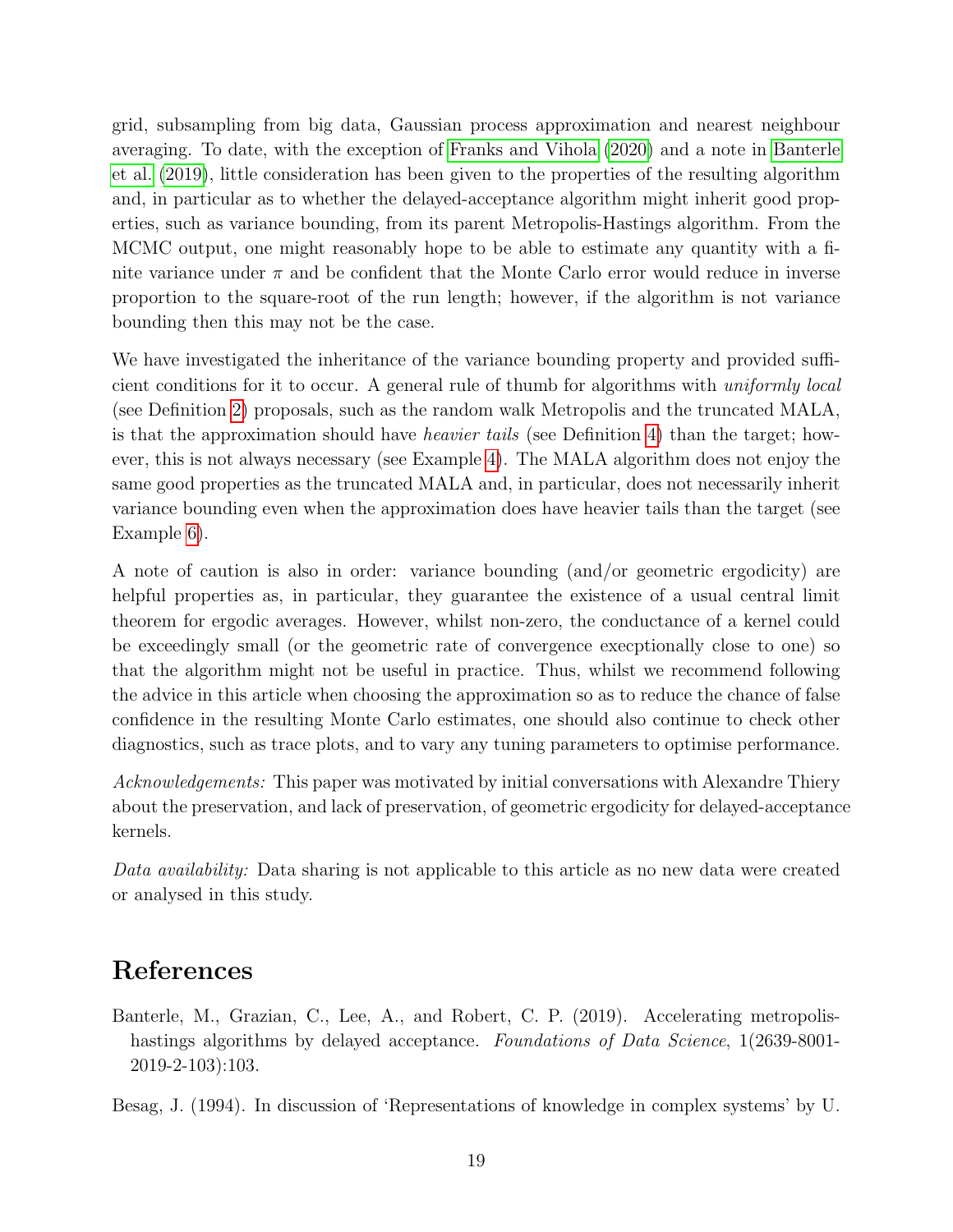grid, subsampling from big data, Gaussian process approximation and nearest neighbour averaging. To date, with the exception of [Franks and Vihola](#page-19-6) [\(2020\)](#page-19-6) and a note in [Banterle](#page-18-0) [et al.](#page-18-0) [\(2019\)](#page-18-0), little consideration has been given to the properties of the resulting algorithm and, in particular as to whether the delayed-acceptance algorithm might inherit good properties, such as variance bounding, from its parent Metropolis-Hastings algorithm. From the MCMC output, one might reasonably hope to be able to estimate any quantity with a finite variance under  $\pi$  and be confident that the Monte Carlo error would reduce in inverse proportion to the square-root of the run length; however, if the algorithm is not variance bounding then this may not be the case.

We have investigated the inheritance of the variance bounding property and provided sufficient conditions for it to occur. A general rule of thumb for algorithms with uniformly local (see Definition [2\)](#page-8-2) proposals, such as the random walk Metropolis and the truncated MALA, is that the approximation should have heavier tails (see Definition [4\)](#page-10-4) than the target; however, this is not always necessary (see Example [4\)](#page-12-2). The MALA algorithm does not enjoy the same good properties as the truncated MALA and, in particular, does not necessarily inherit variance bounding even when the approximation does have heavier tails than the target (see Example [6\)](#page-13-1).

A note of caution is also in order: variance bounding (and/or geometric ergodicity) are helpful properties as, in particular, they guarantee the existence of a usual central limit theorem for ergodic averages. However, whilst non-zero, the conductance of a kernel could be exceedingly small (or the geometric rate of convergence execptionally close to one) so that the algorithm might not be useful in practice. Thus, whilst we recommend following the advice in this article when choosing the approximation so as to reduce the chance of false confidence in the resulting Monte Carlo estimates, one should also continue to check other diagnostics, such as trace plots, and to vary any tuning parameters to optimise performance.

Acknowledgements: This paper was motivated by initial conversations with Alexandre Thiery about the preservation, and lack of preservation, of geometric ergodicity for delayed-acceptance kernels.

Data availability: Data sharing is not applicable to this article as no new data were created or analysed in this study.

# References

<span id="page-18-0"></span>Banterle, M., Grazian, C., Lee, A., and Robert, C. P. (2019). Accelerating metropolishastings algorithms by delayed acceptance. Foundations of Data Science, 1(2639-8001-2019-2-103):103.

<span id="page-18-1"></span>Besag, J. (1994). In discussion of 'Representations of knowledge in complex systems' by U.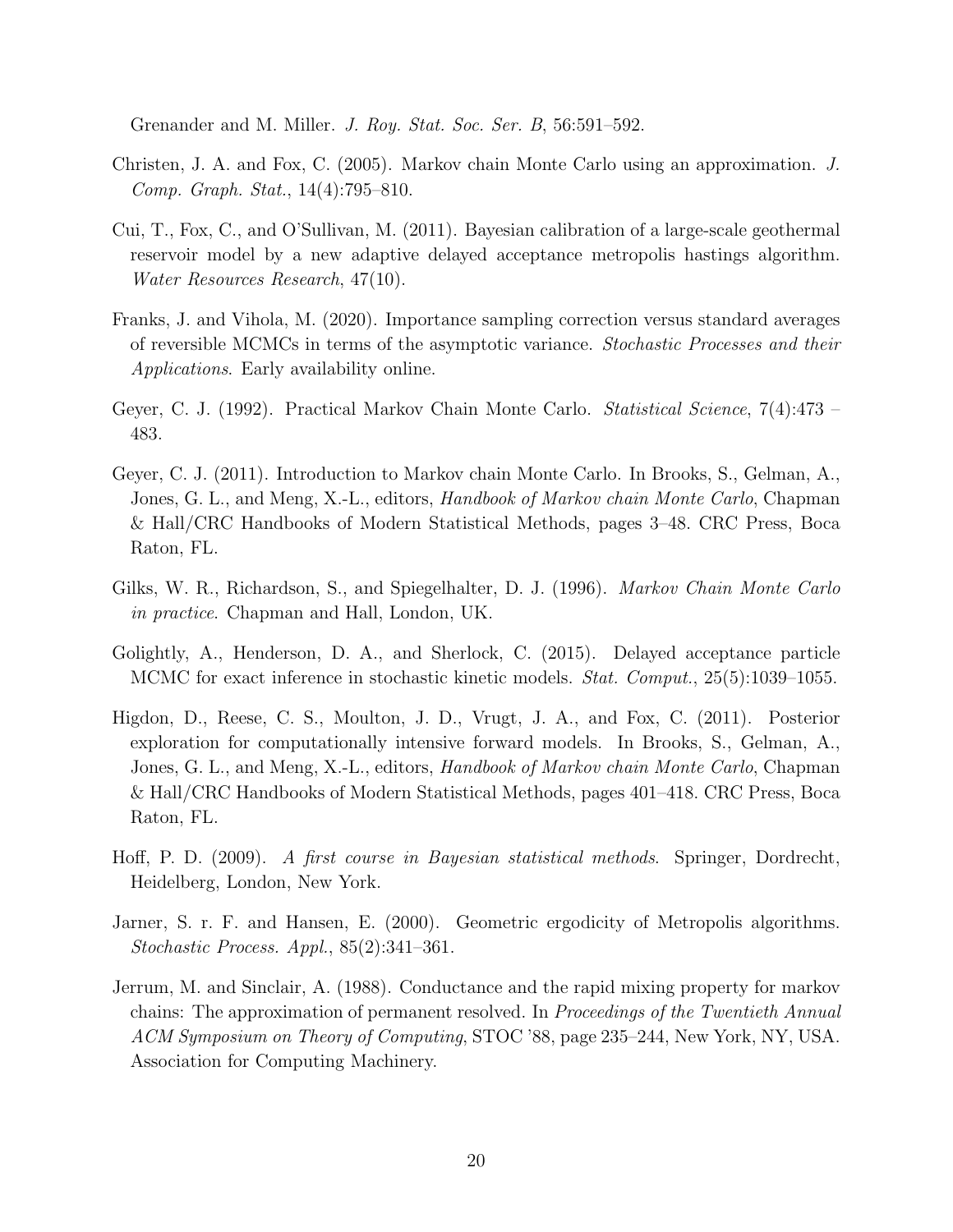Grenander and M. Miller. J. Roy. Stat. Soc. Ser. B, 56:591–592.

- <span id="page-19-2"></span>Christen, J. A. and Fox, C. (2005). Markov chain Monte Carlo using an approximation. J. Comp. Graph. Stat., 14(4):795–810.
- <span id="page-19-4"></span>Cui, T., Fox, C., and O'Sullivan, M. (2011). Bayesian calibration of a large-scale geothermal reservoir model by a new adaptive delayed acceptance metropolis hastings algorithm. Water Resources Research, 47(10).
- <span id="page-19-6"></span>Franks, J. and Vihola, M. (2020). Importance sampling correction versus standard averages of reversible MCMCs in terms of the asymptotic variance. Stochastic Processes and their Applications. Early availability online.
- <span id="page-19-8"></span>Geyer, C. J. (1992). Practical Markov Chain Monte Carlo. Statistical Science, 7(4):473 – 483.
- <span id="page-19-1"></span>Geyer, C. J. (2011). Introduction to Markov chain Monte Carlo. In Brooks, S., Gelman, A., Jones, G. L., and Meng, X.-L., editors, *Handbook of Markov chain Monte Carlo*, Chapman & Hall/CRC Handbooks of Modern Statistical Methods, pages 3–48. CRC Press, Boca Raton, FL.
- <span id="page-19-0"></span>Gilks, W. R., Richardson, S., and Spiegelhalter, D. J. (1996). Markov Chain Monte Carlo in practice. Chapman and Hall, London, UK.
- <span id="page-19-5"></span>Golightly, A., Henderson, D. A., and Sherlock, C. (2015). Delayed acceptance particle MCMC for exact inference in stochastic kinetic models. *Stat. Comput.*, 25(5):1039–1055.
- <span id="page-19-3"></span>Higdon, D., Reese, C. S., Moulton, J. D., Vrugt, J. A., and Fox, C. (2011). Posterior exploration for computationally intensive forward models. In Brooks, S., Gelman, A., Jones, G. L., and Meng, X.-L., editors, *Handbook of Markov chain Monte Carlo*, Chapman & Hall/CRC Handbooks of Modern Statistical Methods, pages 401–418. CRC Press, Boca Raton, FL.
- <span id="page-19-7"></span>Hoff, P. D. (2009). A first course in Bayesian statistical methods. Springer, Dordrecht, Heidelberg, London, New York.
- <span id="page-19-10"></span>Jarner, S. r. F. and Hansen, E. (2000). Geometric ergodicity of Metropolis algorithms. Stochastic Process. Appl., 85(2):341–361.
- <span id="page-19-9"></span>Jerrum, M. and Sinclair, A. (1988). Conductance and the rapid mixing property for markov chains: The approximation of permanent resolved. In Proceedings of the Twentieth Annual ACM Symposium on Theory of Computing, STOC '88, page 235–244, New York, NY, USA. Association for Computing Machinery.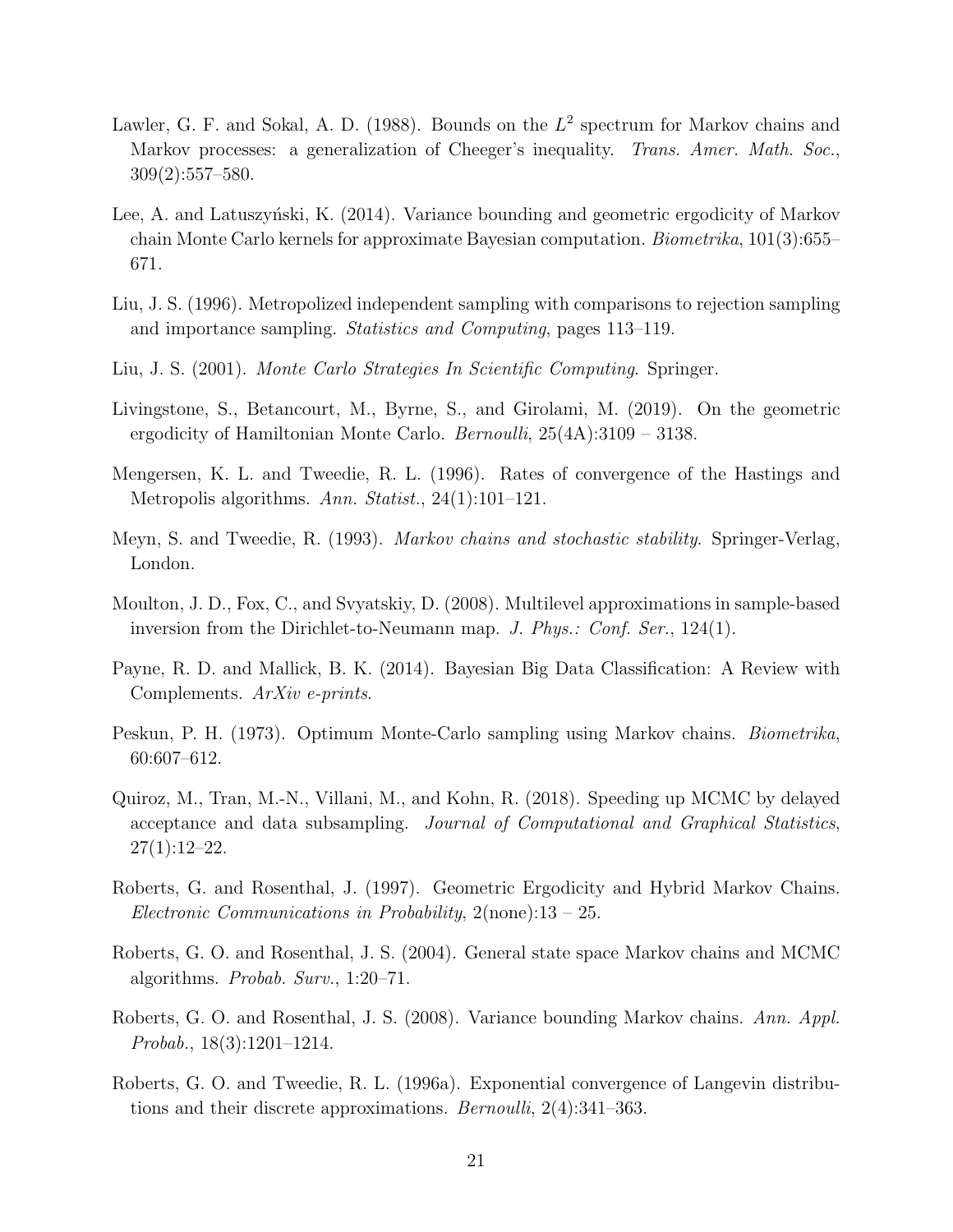- <span id="page-20-9"></span>Lawler, G. F. and Sokal, A. D. (1988). Bounds on the  $L^2$  spectrum for Markov chains and Markov processes: a generalization of Cheeger's inequality. Trans. Amer. Math. Soc., 309(2):557–580.
- <span id="page-20-13"></span>Lee, A. and Latuszynski, K. (2014). Variance bounding and geometric ergodicity of Markov chain Monte Carlo kernels for approximate Bayesian computation. Biometrika, 101(3):655– 671.
- <span id="page-20-10"></span>Liu, J. S. (1996). Metropolized independent sampling with comparisons to rejection sampling and importance sampling. Statistics and Computing, pages 113–119.
- <span id="page-20-0"></span>Liu, J. S. (2001). Monte Carlo Strategies In Scientific Computing. Springer.
- <span id="page-20-14"></span>Livingstone, S., Betancourt, M., Byrne, S., and Girolami, M. (2019). On the geometric ergodicity of Hamiltonian Monte Carlo. *Bernoulli*,  $25(4A):3109 - 3138$ .
- <span id="page-20-11"></span>Mengersen, K. L. and Tweedie, R. L. (1996). Rates of convergence of the Hastings and Metropolis algorithms. Ann. Statist., 24(1):101–121.
- <span id="page-20-7"></span>Meyn, S. and Tweedie, R. (1993). Markov chains and stochastic stability. Springer-Verlag, London.
- <span id="page-20-1"></span>Moulton, J. D., Fox, C., and Svyatskiy, D. (2008). Multilevel approximations in sample-based inversion from the Dirichlet-to-Neumann map. J. Phys.: Conf. Ser., 124(1).
- <span id="page-20-2"></span>Payne, R. D. and Mallick, B. K. (2014). Bayesian Big Data Classification: A Review with Complements. ArXiv e-prints.
- <span id="page-20-8"></span>Peskun, P. H. (1973). Optimum Monte-Carlo sampling using Markov chains. Biometrika, 60:607–612.
- <span id="page-20-3"></span>Quiroz, M., Tran, M.-N., Villani, M., and Kohn, R. (2018). Speeding up MCMC by delayed acceptance and data subsampling. Journal of Computational and Graphical Statistics,  $27(1):12-22.$
- <span id="page-20-5"></span>Roberts, G. and Rosenthal, J. (1997). Geometric Ergodicity and Hybrid Markov Chains. Electronic Communications in Probability,  $2(\text{none})$ :13 – 25.
- <span id="page-20-6"></span>Roberts, G. O. and Rosenthal, J. S. (2004). General state space Markov chains and MCMC algorithms. Probab. Surv., 1:20–71.
- <span id="page-20-4"></span>Roberts, G. O. and Rosenthal, J. S. (2008). Variance bounding Markov chains. Ann. Appl. Probab., 18(3):1201–1214.
- <span id="page-20-12"></span>Roberts, G. O. and Tweedie, R. L. (1996a). Exponential convergence of Langevin distributions and their discrete approximations. Bernoulli, 2(4):341–363.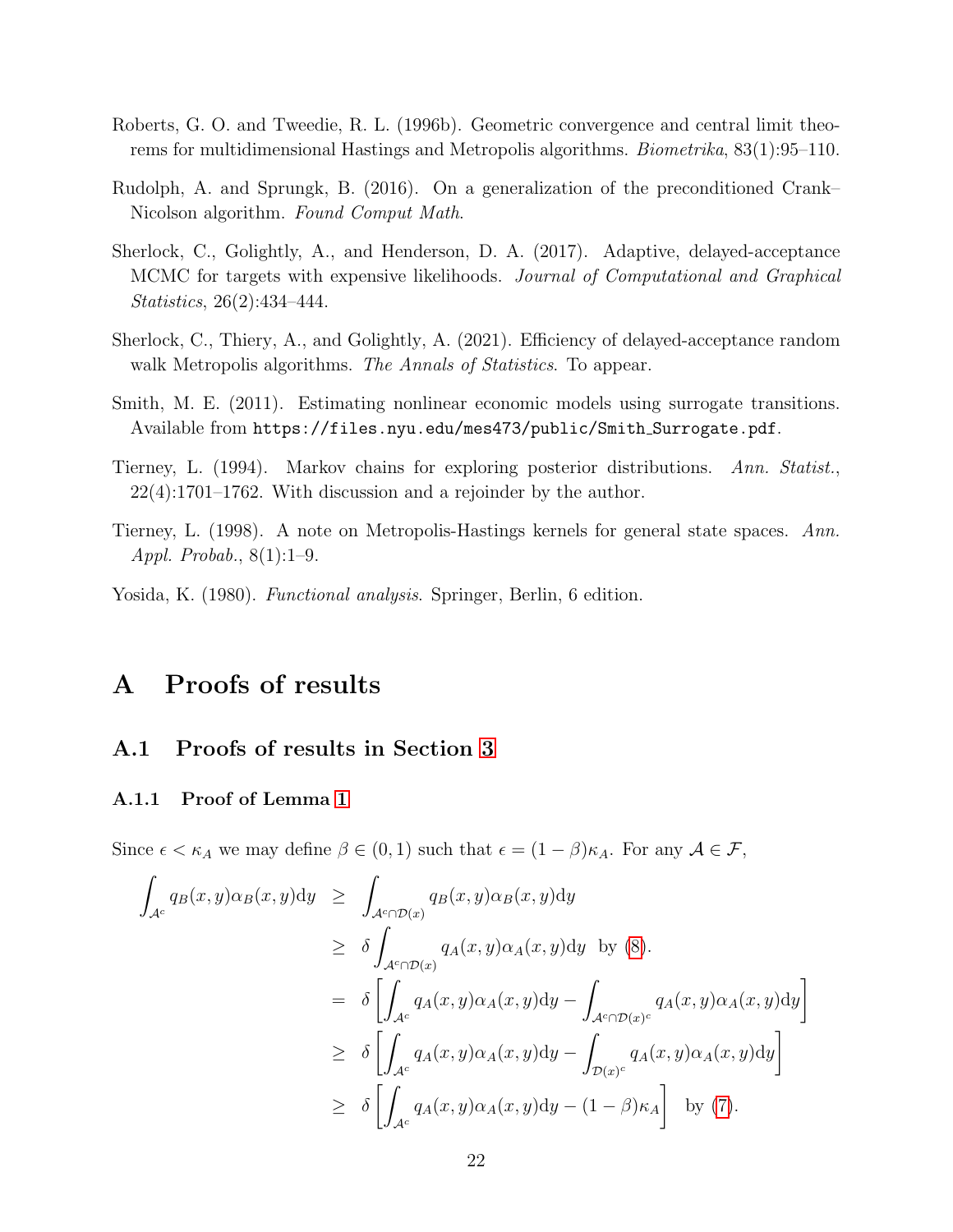- <span id="page-21-7"></span>Roberts, G. O. and Tweedie, R. L. (1996b). Geometric convergence and central limit theorems for multidimensional Hastings and Metropolis algorithms. Biometrika, 83(1):95–110.
- <span id="page-21-9"></span>Rudolph, A. and Sprungk, B. (2016). On a generalization of the preconditioned Crank– Nicolson algorithm. Found Comput Math.
- <span id="page-21-1"></span>Sherlock, C., Golightly, A., and Henderson, D. A. (2017). Adaptive, delayed-acceptance MCMC for targets with expensive likelihoods. Journal of Computational and Graphical Statistics, 26(2):434–444.
- <span id="page-21-2"></span>Sherlock, C., Thiery, A., and Golightly, A. (2021). Efficiency of delayed-acceptance random walk Metropolis algorithms. The Annals of Statistics. To appear.
- <span id="page-21-0"></span>Smith, M. E. (2011). Estimating nonlinear economic models using surrogate transitions. Available from https://files.nyu.edu/mes473/public/Smith Surrogate.pdf.
- <span id="page-21-6"></span>Tierney, L. (1994). Markov chains for exploring posterior distributions. Ann. Statist., 22(4):1701–1762. With discussion and a rejoinder by the author.
- <span id="page-21-4"></span>Tierney, L. (1998). A note on Metropolis-Hastings kernels for general state spaces. Ann. Appl. Probab., 8(1):1–9.
- <span id="page-21-5"></span>Yosida, K. (1980). *Functional analysis*. Springer, Berlin, 6 edition.

## <span id="page-21-3"></span>A Proofs of results

### A.1 Proofs of results in Section [3](#page-7-0)

### <span id="page-21-8"></span>A.1.1 Proof of Lemma [1](#page-7-2)

Since  $\epsilon < \kappa_A$  we may define  $\beta \in (0,1)$  such that  $\epsilon = (1-\beta)\kappa_A$ . For any  $\mathcal{A} \in \mathcal{F}$ ,

$$
\int_{\mathcal{A}^c} q_B(x, y) \alpha_B(x, y) dy \ge \int_{\mathcal{A}^c \cap \mathcal{D}(x)} q_B(x, y) \alpha_B(x, y) dy
$$
\n
$$
\ge \delta \int_{\mathcal{A}^c \cap \mathcal{D}(x)} q_A(x, y) \alpha_A(x, y) dy \text{ by (8)}.
$$
\n
$$
= \delta \left[ \int_{\mathcal{A}^c} q_A(x, y) \alpha_A(x, y) dy - \int_{\mathcal{A}^c \cap \mathcal{D}(x)^c} q_A(x, y) \alpha_A(x, y) dy \right]
$$
\n
$$
\ge \delta \left[ \int_{\mathcal{A}^c} q_A(x, y) \alpha_A(x, y) dy - \int_{\mathcal{D}(x)^c} q_A(x, y) \alpha_A(x, y) dy \right]
$$
\n
$$
\ge \delta \left[ \int_{\mathcal{A}^c} q_A(x, y) \alpha_A(x, y) dy - (1 - \beta) \kappa_A \right] \text{ by (7)}.
$$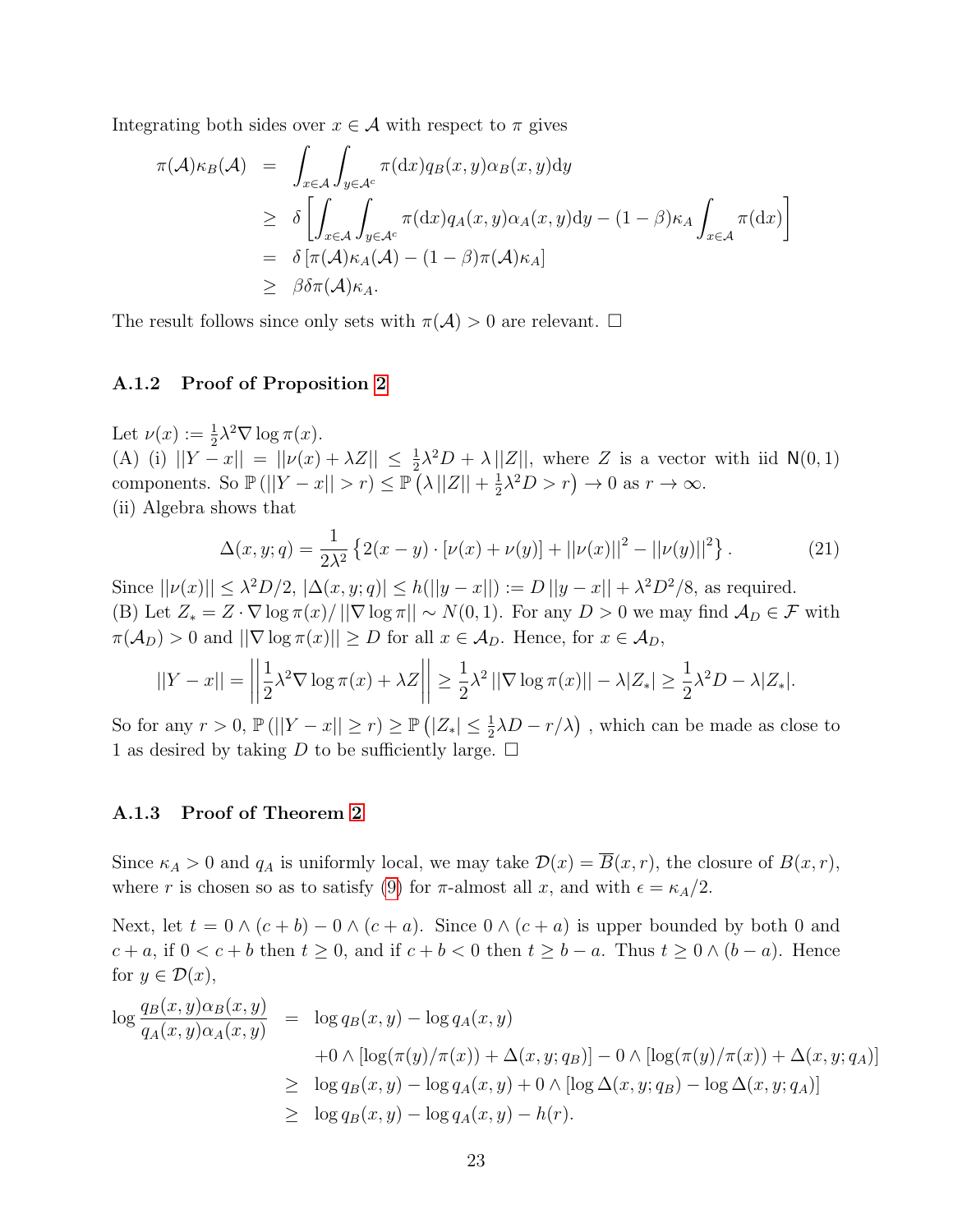Integrating both sides over  $x \in A$  with respect to  $\pi$  gives

$$
\pi(\mathcal{A})\kappa_B(\mathcal{A}) = \int_{x \in \mathcal{A}} \int_{y \in \mathcal{A}^c} \pi(\mathrm{d}x) q_B(x, y) \alpha_B(x, y) \mathrm{d}y
$$
\n
$$
\geq \delta \left[ \int_{x \in \mathcal{A}} \int_{y \in \mathcal{A}^c} \pi(\mathrm{d}x) q_A(x, y) \alpha_A(x, y) \mathrm{d}y - (1 - \beta) \kappa_A \int_{x \in \mathcal{A}} \pi(\mathrm{d}x) \right]
$$
\n
$$
= \delta \left[ \pi(\mathcal{A}) \kappa_A(\mathcal{A}) - (1 - \beta) \pi(\mathcal{A}) \kappa_A \right]
$$
\n
$$
\geq \beta \delta \pi(\mathcal{A}) \kappa_A.
$$

The result follows since only sets with  $\pi(\mathcal{A}) > 0$  are relevant.  $\Box$ 

### A.1.2 Proof of Proposition [2](#page-8-1)

Let  $\nu(x) := \frac{1}{2}\lambda^2 \nabla \log \pi(x)$ . (A) (i)  $||Y-x|| = ||\nu(x) + \lambda Z|| \le \frac{1}{2}\lambda^2 D + \lambda ||Z||$ , where Z is a vector with iid N(0,1) components. So  $\mathbb{P}(||Y-x||>r)\leq \mathbb{P}(|X||Z||+\frac{1}{2})$  $\frac{1}{2}\lambda^2 D > r$   $\rightarrow$  0 as  $r \rightarrow \infty$ . (ii) Algebra shows that

<span id="page-22-0"></span>
$$
\Delta(x, y; q) = \frac{1}{2\lambda^2} \left\{ 2(x - y) \cdot \left[ \nu(x) + \nu(y) \right] + ||\nu(x)||^2 - ||\nu(y)||^2 \right\}.
$$
 (21)

Since  $||\nu(x)|| \leq \lambda^2 D/2$ ,  $|\Delta(x, y; q)| \leq h(||y - x||) := D ||y - x|| + \lambda^2 D^2/8$ , as required. (B) Let  $Z_* = Z \cdot \nabla \log \pi(x) / ||\nabla \log \pi|| \sim N(0, 1)$ . For any  $D > 0$  we may find  $\mathcal{A}_D \in \mathcal{F}$  with  $\pi(\mathcal{A}_D) > 0$  and  $||\nabla \log \pi(x)|| \geq D$  for all  $x \in \mathcal{A}_D$ . Hence, for  $x \in \mathcal{A}_D$ ,

$$
||Y - x|| = \left\| \frac{1}{2} \lambda^2 \nabla \log \pi(x) + \lambda Z \right\| \ge \frac{1}{2} \lambda^2 \left\| \nabla \log \pi(x) \right\| - \lambda |Z_*| \ge \frac{1}{2} \lambda^2 D - \lambda |Z_*|.
$$

So for any  $r > 0$ ,  $\mathbb{P}(||Y - x|| \ge r) \ge \mathbb{P}(|Z_*| \le \frac{1}{2}\lambda D - r/\lambda)$ , which can be made as close to 1 as desired by taking D to be sufficiently large.  $\Box$ 

### A.1.3 Proof of Theorem [2](#page-9-1)

Since  $\kappa_A > 0$  and  $q_A$  is uniformly local, we may take  $\mathcal{D}(x) = \overline{B}(x, r)$ , the closure of  $B(x, r)$ , where r is chosen so as to satisfy [\(9\)](#page-8-0) for  $\pi$ -almost all x, and with  $\epsilon = \kappa_A/2$ .

Next, let  $t = 0 \wedge (c + b) - 0 \wedge (c + a)$ . Since  $0 \wedge (c + a)$  is upper bounded by both 0 and  $c + a$ , if  $0 < c + b$  then  $t \ge 0$ , and if  $c + b < 0$  then  $t \ge b - a$ . Thus  $t \ge 0 \wedge (b - a)$ . Hence for  $y \in \mathcal{D}(x)$ ,

$$
\log \frac{q_B(x, y)\alpha_B(x, y)}{q_A(x, y)\alpha_A(x, y)} = \log q_B(x, y) - \log q_A(x, y)
$$
  
+0  $\wedge [\log(\pi(y)/\pi(x)) + \Delta(x, y; q_B)] - 0 \wedge [\log(\pi(y)/\pi(x)) + \Delta(x, y; q_A)]$   
 $\geq \log q_B(x, y) - \log q_A(x, y) + 0 \wedge [\log \Delta(x, y; q_B) - \log \Delta(x, y; q_A)]$   
 $\geq \log q_B(x, y) - \log q_A(x, y) - h(r).$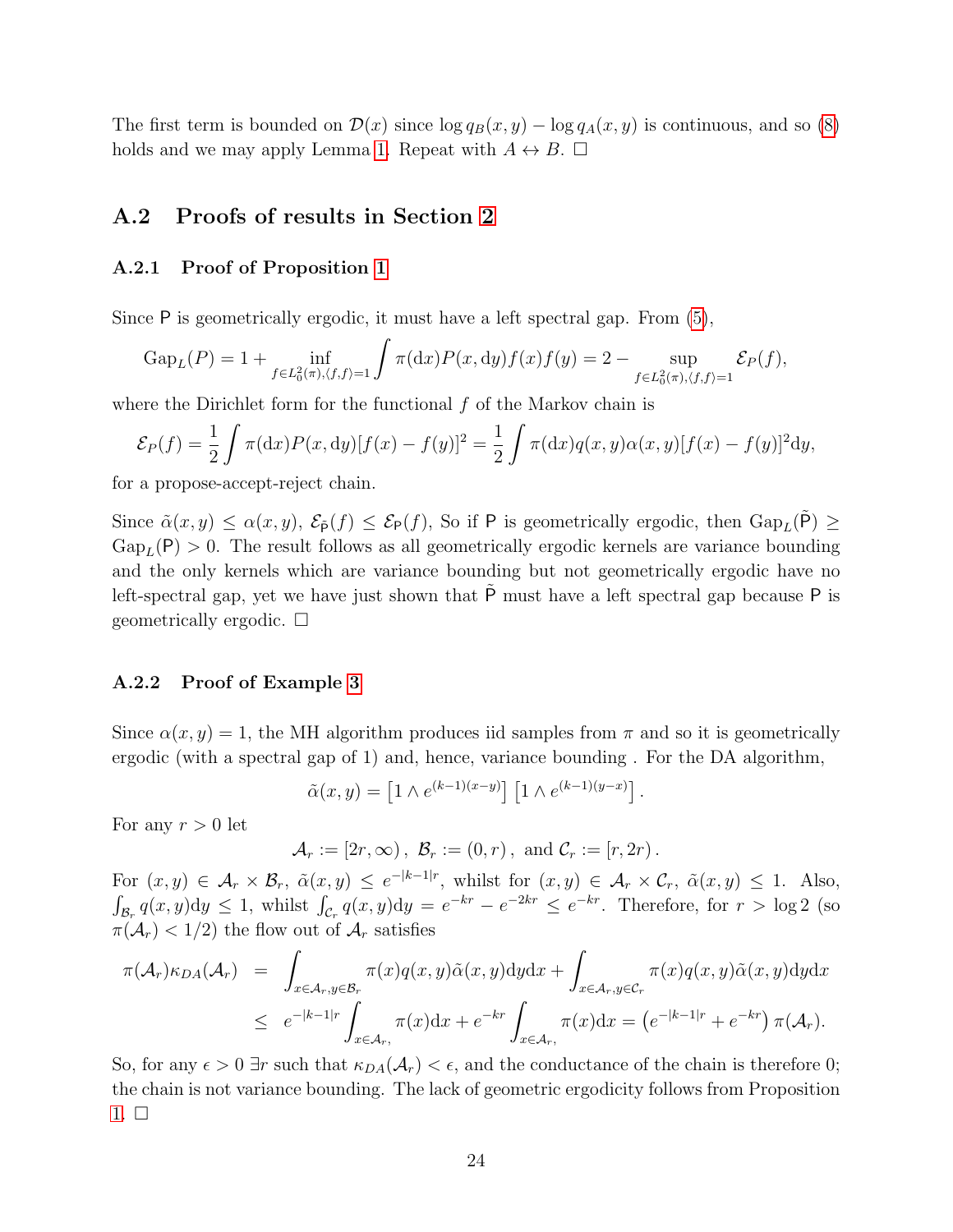The first term is bounded on  $\mathcal{D}(x)$  since  $\log q_B(x, y) - \log q_A(x, y)$  is continuous, and so [\(8\)](#page-7-5) holds and we may apply Lemma [1.](#page-7-2) Repeat with  $A \leftrightarrow B$ .  $\Box$ 

## <span id="page-23-0"></span>A.2 Proofs of results in Section [2](#page-3-0)

### A.2.1 Proof of Proposition [1](#page-6-0)

Since P is geometrically ergodic, it must have a left spectral gap. From [\(5\)](#page-5-1),

$$
Gap_L(P) = 1 + \inf_{f \in L_0^2(\pi), \langle f, f \rangle = 1} \int \pi(dx) P(x, dy) f(x) f(y) = 2 - \sup_{f \in L_0^2(\pi), \langle f, f \rangle = 1} \mathcal{E}_P(f),
$$

where the Dirichlet form for the functional  $f$  of the Markov chain is

$$
\mathcal{E}_P(f) = \frac{1}{2} \int \pi(\mathrm{d}x) P(x, \mathrm{d}y) [f(x) - f(y)]^2 = \frac{1}{2} \int \pi(\mathrm{d}x) q(x, y) \alpha(x, y) [f(x) - f(y)]^2 \mathrm{d}y,
$$

for a propose-accept-reject chain.

Since  $\tilde{\alpha}(x, y) \leq \alpha(x, y)$ ,  $\mathcal{E}_{\tilde{P}}(f) \leq \mathcal{E}_{P}(f)$ , So if P is geometrically ergodic, then  $\text{Gap}_{L}(\tilde{P}) \geq$  $Gap_L(P) > 0$ . The result follows as all geometrically ergodic kernels are variance bounding and the only kernels which are variance bounding but not geometrically ergodic have no left-spectral gap, yet we have just shown that  $\tilde{P}$  must have a left spectral gap because P is geometrically ergodic.  $\square$ 

### A.2.2 Proof of Example [3](#page-11-3)

Since  $\alpha(x, y) = 1$ , the MH algorithm produces iid samples from  $\pi$  and so it is geometrically ergodic (with a spectral gap of 1) and, hence, variance bounding . For the DA algorithm,

$$
\tilde{\alpha}(x,y) = \left[1 \wedge e^{(k-1)(x-y)}\right] \left[1 \wedge e^{(k-1)(y-x)}\right].
$$

For any  $r > 0$  let

$$
\mathcal{A}_r := [2r, \infty), \ \mathcal{B}_r := (0, r), \text{ and } \mathcal{C}_r := [r, 2r).
$$

For  $(x, y) \in \mathcal{A}_r \times \mathcal{B}_r$ ,  $\tilde{\alpha}(x, y) \leq e^{-|k-1|r}$ , whilst for  $(x, y) \in \mathcal{A}_r \times \mathcal{C}_r$ ,  $\tilde{\alpha}(x, y) \leq 1$ . Also,  $\int_{\mathcal{B}_r} q(x, y) dy \leq 1$ , whilst  $\int_{\mathcal{C}_r} q(x, y) dy = e^{-kr} - e^{-2kr} \leq e^{-kr}$ . Therefore, for  $r > \log 2$  (so  $\pi(\mathcal{A}_r) < 1/2$  the flow out of  $\mathcal{A}_r$  satisfies

$$
\pi(\mathcal{A}_r)\kappa_{DA}(\mathcal{A}_r) = \int_{x \in \mathcal{A}_r, y \in \mathcal{B}_r} \pi(x)q(x, y)\tilde{\alpha}(x, y)dydx + \int_{x \in \mathcal{A}_r, y \in \mathcal{C}_r} \pi(x)q(x, y)\tilde{\alpha}(x, y)dydx
$$
  

$$
\leq e^{-|k-1|r} \int_{x \in \mathcal{A}_r,} \pi(x)dx + e^{-kr} \int_{x \in \mathcal{A}_r,} \pi(x)dx = (e^{-|k-1|r} + e^{-kr}) \pi(\mathcal{A}_r).
$$

So, for any  $\epsilon > 0$  ∃r such that  $\kappa_{DA}(\mathcal{A}_r) < \epsilon$ , and the conductance of the chain is therefore 0; the chain is not variance bounding. The lack of geometric ergodicity follows from Proposition  $1. \Box$  $1. \Box$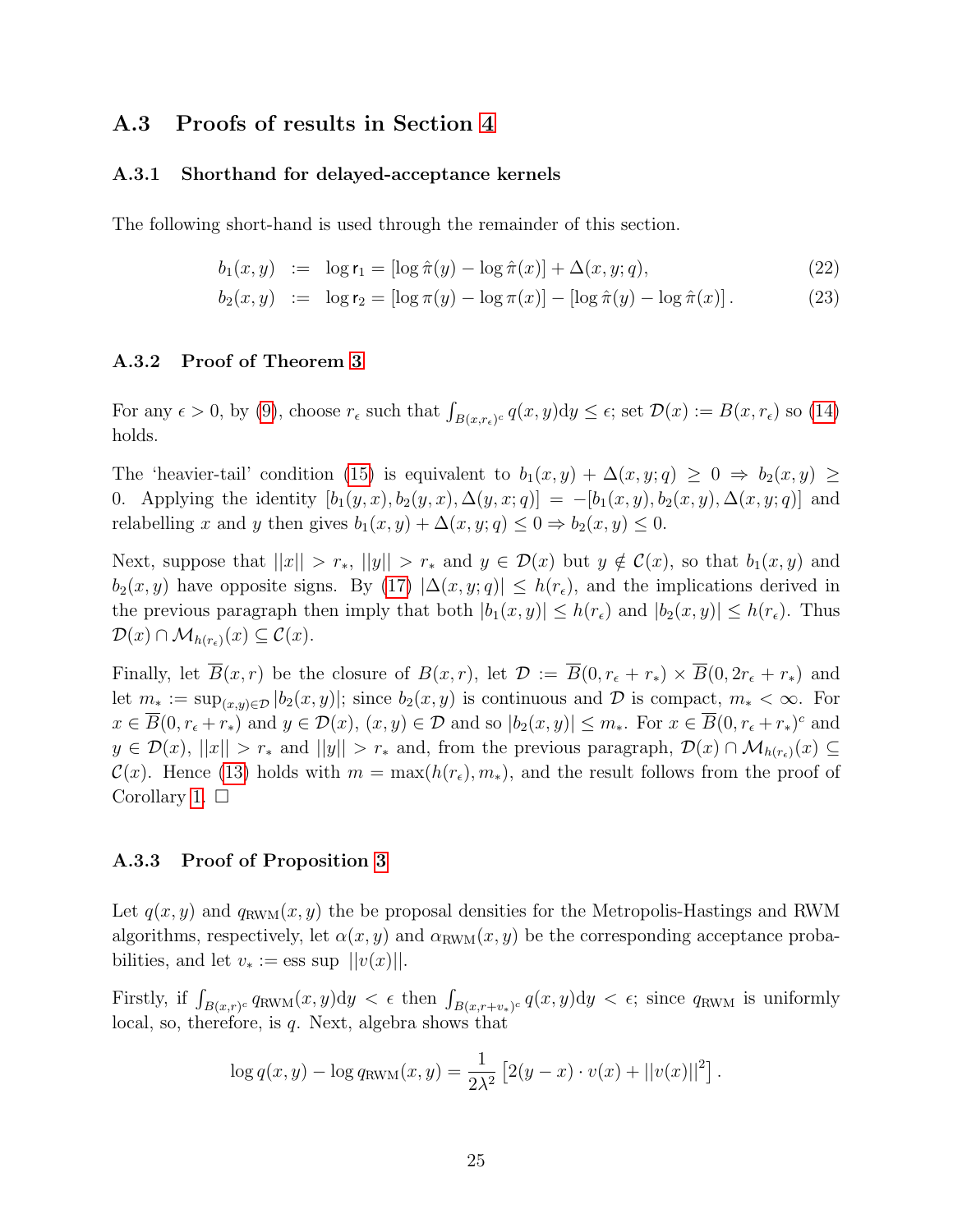## A.3 Proofs of results in Section [4](#page-9-0)

### A.3.1 Shorthand for delayed-acceptance kernels

The following short-hand is used through the remainder of this section.

$$
b_1(x, y) := \log r_1 = [\log \hat{\pi}(y) - \log \hat{\pi}(x)] + \Delta(x, y; q), \tag{22}
$$

$$
b_2(x, y) := \log r_2 = [\log \pi(y) - \log \pi(x)] - [\log \hat{\pi}(y) - \log \hat{\pi}(x)].
$$
 (23)

### A.3.2 Proof of Theorem [3](#page-12-0)

For any  $\epsilon > 0$ , by [\(9\)](#page-8-0), choose  $r_{\epsilon}$  such that  $\int_{B(x,r_{\epsilon})^c} q(x,y) dy \leq \epsilon$ ; set  $\mathcal{D}(x) := B(x,r_{\epsilon})$  so [\(14\)](#page-10-3) holds.

The 'heavier-tail' condition [\(15\)](#page-10-1) is equivalent to  $b_1(x, y) + \Delta(x, y; q) \geq 0 \Rightarrow b_2(x, y) \geq 0$ 0. Applying the identity  $[b_1(y, x), b_2(y, x), \Delta(y, x; q)] = -[b_1(x, y), b_2(x, y), \Delta(x, y; q)]$  and relabelling x and y then gives  $b_1(x, y) + \Delta(x, y; q) \leq 0 \Rightarrow b_2(x, y) \leq 0$ .

Next, suppose that  $||x|| > r_*$ ,  $||y|| > r_*$  and  $y \in \mathcal{D}(x)$  but  $y \notin \mathcal{C}(x)$ , so that  $b_1(x, y)$  and  $b_2(x, y)$  have opposite signs. By [\(17\)](#page-12-3)  $|\Delta(x, y; q)| \leq h(r_{\epsilon})$ , and the implications derived in the previous paragraph then imply that both  $|b_1(x, y)| \leq h(r_{\epsilon})$  and  $|b_2(x, y)| \leq h(r_{\epsilon})$ . Thus  $\mathcal{D}(x) \cap \mathcal{M}_{h(r_{\epsilon})}(x) \subseteq \mathcal{C}(x).$ 

Finally, let  $\overline{B}(x,r)$  be the closure of  $B(x,r)$ , let  $\mathcal{D} := \overline{B}(0,r_{\epsilon}+r_*) \times \overline{B}(0,2r_{\epsilon}+r_*)$  and let  $m_* := \sup_{(x,y)\in\mathcal{D}} |b_2(x,y)|$ ; since  $b_2(x,y)$  is continuous and  $\mathcal D$  is compact,  $m_* < \infty$ . For  $x \in \overline{B}(0, r_{\epsilon} + r_{\ast})$  and  $y \in \mathcal{D}(x), (x, y) \in \mathcal{D}$  and so  $|b_2(x, y)| \leq m_{\ast}$ . For  $x \in \overline{B}(0, r_{\epsilon} + r_{\ast})^c$  and  $y \in \mathcal{D}(x)$ ,  $||x|| > r_*$  and  $||y|| > r_*$  and, from the previous paragraph,  $\mathcal{D}(x) \cap \mathcal{M}_{h(r_*)}(x) \subseteq$  $\mathcal{C}(x)$ . Hence [\(13\)](#page-10-2) holds with  $m = \max(h(r_{\epsilon}), m_{*})$ , and the result follows from the proof of Corollary [1.](#page-10-0)  $\square$ 

#### A.3.3 Proof of Proposition [3](#page-12-1)

Let  $q(x, y)$  and  $q_{\text{RWM}}(x, y)$  the be proposal densities for the Metropolis-Hastings and RWM algorithms, respectively, let  $\alpha(x, y)$  and  $\alpha_{\text{RWM}}(x, y)$  be the corresponding acceptance probabilities, and let  $v_* := \text{ess sup } ||v(x)||$ .

Firstly, if  $\int_{B(x,r)^c} q_{\text{RWM}}(x, y) dy < \epsilon$  then  $\int_{B(x,r+v_*)^c} q(x, y) dy < \epsilon$ ; since  $q_{\text{RWM}}$  is uniformly local, so, therefore, is q. Next, algebra shows that

$$
\log q(x, y) - \log q_{\text{RWM}}(x, y) = \frac{1}{2\lambda^2} \left[ 2(y - x) \cdot v(x) + ||v(x)||^2 \right].
$$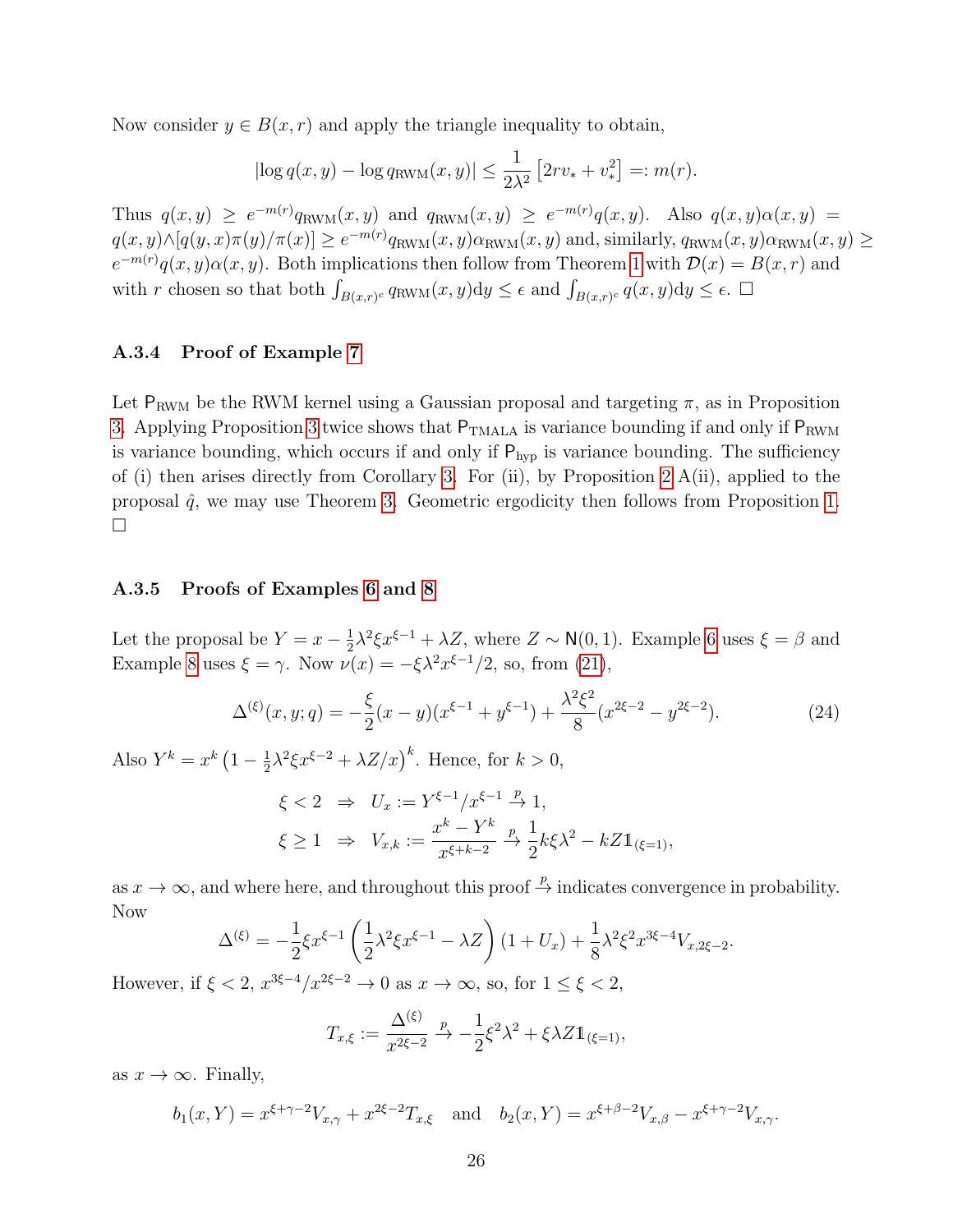Now consider  $y \in B(x, r)$  and apply the triangle inequality to obtain,

$$
|\log q(x, y) - \log q_{\text{RWM}}(x, y)| \le \frac{1}{2\lambda^2} \left[2rv_* + v_*^2\right] =: m(r).
$$

Thus  $q(x,y) \ge e^{-m(r)}q_{\text{RWM}}(x,y)$  and  $q_{\text{RWM}}(x,y) \ge e^{-m(r)}q(x,y)$ . Also  $q(x,y)\alpha(x,y) =$  $q(x,y) \wedge [q(y,x)\pi(y)/\pi(x)] \ge e^{-m(r)} q_{\text{RWM}}(x,y) \alpha_{\text{RWM}}(x,y)$  and, similarly,  $q_{\text{RWM}}(x,y) \alpha_{\text{RWM}}(x,y) \ge$  $e^{-m(r)}q(x,y)\alpha(x,y)$ . Both implications then follow from Theorem [1](#page-7-1) with  $\mathcal{D}(x) = B(x,r)$  and with r chosen so that both  $\int_{B(x,r)^c} q_{\text{RWM}}(x, y) dy \leq \epsilon$  and  $\int_{B(x,r)^c} q(x, y) dy \leq \epsilon$ .

#### A.3.4 Proof of Example [7](#page-14-1)

Let  $P_{RWM}$  be the RWM kernel using a Gaussian proposal and targeting  $\pi$ , as in Proposition [3.](#page-12-1) Applying Proposition [3](#page-12-1) twice shows that  $P_{TMALA}$  is variance bounding if and only if  $P_{RWM}$ is variance bounding, which occurs if and only if  $P_{hyp}$  is variance bounding. The sufficiency of (i) then arises directly from Corollary [3.](#page-11-1) For (ii), by Proposition [2](#page-8-1)  $A(ii)$ , applied to the proposal  $\hat{q}$ , we may use Theorem [3.](#page-12-0) Geometric ergodicity then follows from Proposition [1.](#page-6-0)  $\Box$ 

### A.3.5 Proofs of Examples [6](#page-13-1) and [8](#page-14-0)

Let the proposal be  $Y = x - \frac{1}{2}$  $\frac{1}{2}\lambda^2 \xi x^{\xi-1} + \lambda Z$ , where  $Z \sim \mathsf{N}(0, 1)$ . Example [6](#page-13-1) uses  $\xi = \beta$  and Example [8](#page-14-0) uses  $\xi = \gamma$ . Now  $\nu(x) = -\xi \lambda^2 x^{\xi-1}/2$ , so, from [\(21\)](#page-22-0),

<span id="page-25-0"></span>
$$
\Delta^{(\xi)}(x,y;q) = -\frac{\xi}{2}(x-y)(x^{\xi-1}+y^{\xi-1}) + \frac{\lambda^2 \xi^2}{8}(x^{2\xi-2} - y^{2\xi-2}).
$$
\n(24)

Also  $Y^k = x^k (1 - \frac{1}{2})$  $\frac{1}{2}\lambda^2 \xi x^{\xi-2} + \lambda Z/x^k$ . Hence, for  $k > 0$ ,

$$
\xi < 2 \Rightarrow U_x := Y^{\xi - 1}/x^{\xi - 1} \xrightarrow{p} 1,
$$
\n
$$
\xi \geq 1 \Rightarrow V_{x,k} := \frac{x^k - Y^k}{x^{\xi + k - 2}} \xrightarrow{p} \frac{1}{2} k \xi \lambda^2 - kZ \mathbb{1}_{(\xi = 1)},
$$

as  $x \to \infty$ , and where here, and throughout this proof  $\stackrel{p}{\to}$  indicates convergence in probability. Now

$$
\Delta^{(\xi)} = -\frac{1}{2}\xi x^{\xi-1} \left(\frac{1}{2}\lambda^2 \xi x^{\xi-1} - \lambda Z\right) (1 + U_x) + \frac{1}{8}\lambda^2 \xi^2 x^{3\xi-4} V_{x,2\xi-2}.
$$

However, if  $\xi < 2$ ,  $x^{3\xi - 4}/x^{2\xi - 2} \to 0$  as  $x \to \infty$ , so, for  $1 \le \xi < 2$ ,

$$
T_{x,\xi} := \frac{\Delta^{(\xi)}}{x^{2\xi - 2}} \xrightarrow{p} -\frac{1}{2}\xi^2 \lambda^2 + \xi \lambda Z \mathbb{1}_{(\xi = 1)},
$$

as  $x \to \infty$ . Finally,

$$
b_1(x, Y) = x^{\xi + \gamma - 2} V_{x, \gamma} + x^{2\xi - 2} T_{x, \xi}
$$
 and  $b_2(x, Y) = x^{\xi + \beta - 2} V_{x, \beta} - x^{\xi + \gamma - 2} V_{x, \gamma}$ .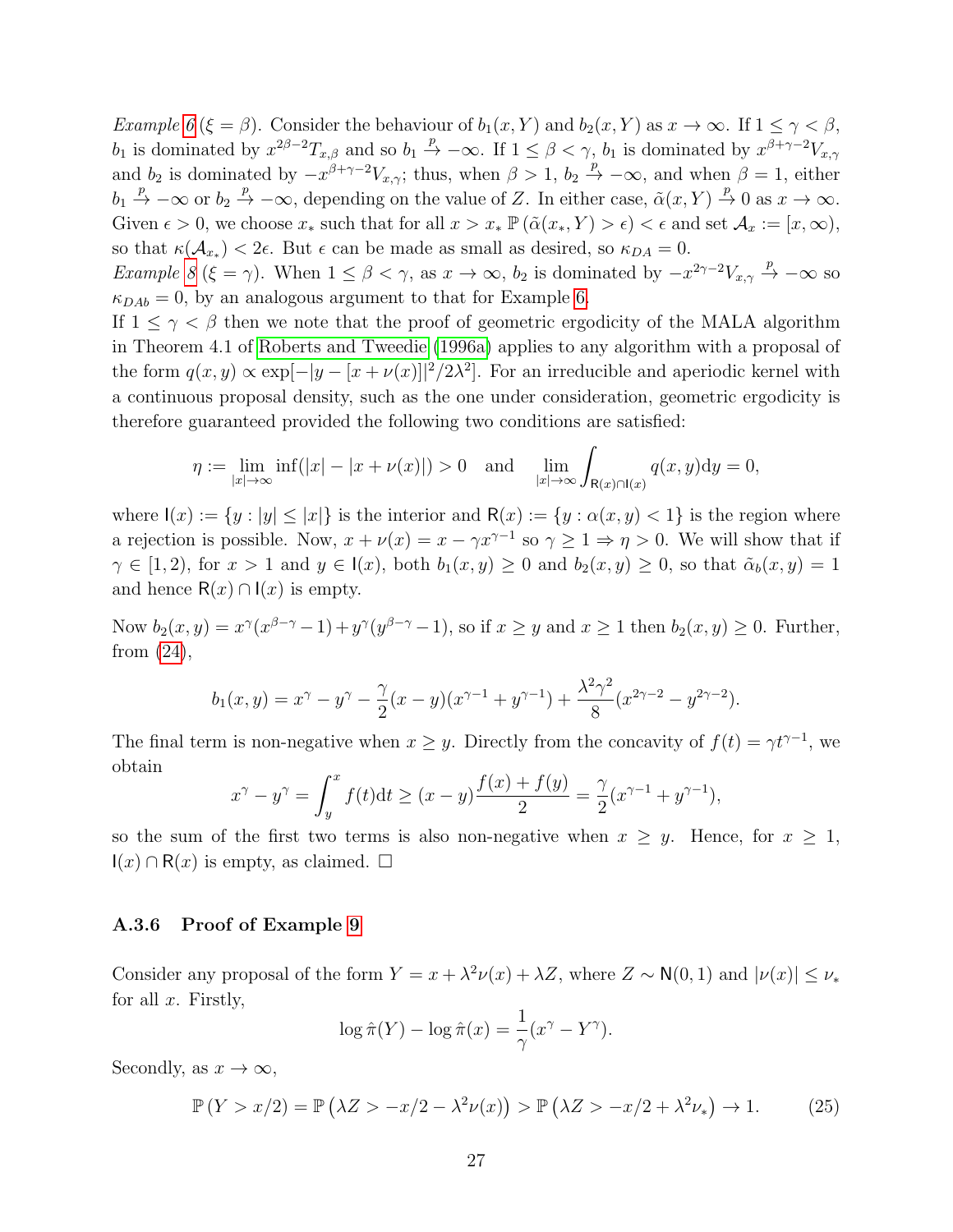Example [6](#page-13-1) ( $\xi = \beta$ ). Consider the behaviour of  $b_1(x, Y)$  and  $b_2(x, Y)$  as  $x \to \infty$ . If  $1 \leq \gamma < \beta$ ,  $b_1$  is dominated by  $x^{2\beta-2}T_{x,\beta}$  and so  $b_1 \stackrel{p}{\rightarrow} -\infty$ . If  $1 \leq \beta < \gamma$ ,  $b_1$  is dominated by  $x^{\beta+\gamma-2}V_{x,\gamma}$ and  $b_2$  is dominated by  $-x^{\beta+\gamma-2}V_{x,\gamma}$ ; thus, when  $\beta > 1$ ,  $b_2 \stackrel{p}{\rightarrow} -\infty$ , and when  $\beta = 1$ , either  $b_1 \stackrel{p}{\rightarrow} -\infty$  or  $b_2 \stackrel{p}{\rightarrow} -\infty$ , depending on the value of Z. In either case,  $\tilde{\alpha}(x, Y) \stackrel{p}{\rightarrow} 0$  as  $x \rightarrow \infty$ . Given  $\epsilon > 0$ , we choose  $x_*$  such that for all  $x > x_* \mathbb{P}(\tilde{\alpha}(x_*, Y) > \epsilon) < \epsilon$  and set  $\mathcal{A}_x := [x, \infty)$ , so that  $\kappa(\mathcal{A}_{x_*}) < 2\epsilon$ . But  $\epsilon$  can be made as small as desired, so  $\kappa_{DA} = 0$ .

Example [8](#page-14-0) ( $\xi = \gamma$ ). When  $1 \leq \beta < \gamma$ , as  $x \to \infty$ ,  $b_2$  is dominated by  $-x^{2\gamma-2}V_{x,\gamma} \stackrel{p}{\to} -\infty$  so  $\kappa_{DAb} = 0$ , by an analogous argument to that for Example [6.](#page-13-1)

If  $1 \leq \gamma < \beta$  then we note that the proof of geometric ergodicity of the MALA algorithm in Theorem 4.1 of [Roberts and Tweedie](#page-20-12) [\(1996a\)](#page-20-12) applies to any algorithm with a proposal of the form  $q(x, y) \propto \exp[-|y - [x + \nu(x)]|^2/2\lambda^2]$ . For an irreducible and aperiodic kernel with a continuous proposal density, such as the one under consideration, geometric ergodicity is therefore guaranteed provided the following two conditions are satisfied:

$$
\eta := \lim_{|x| \to \infty} \inf(|x| - |x + \nu(x)|) > 0 \quad \text{and} \quad \lim_{|x| \to \infty} \int_{\mathsf{R}(x) \cap \mathsf{I}(x)} q(x, y) \mathrm{d}y = 0,
$$

where  $I(x) := \{y : |y| \leq |x|\}$  is the interior and  $R(x) := \{y : \alpha(x, y) < 1\}$  is the region where a rejection is possible. Now,  $x + \nu(x) = x - \gamma x^{\gamma-1}$  so  $\gamma \geq 1 \Rightarrow \eta > 0$ . We will show that if  $\gamma \in [1, 2)$ , for  $x > 1$  and  $y \in I(x)$ , both  $b_1(x, y) \ge 0$  and  $b_2(x, y) \ge 0$ , so that  $\tilde{\alpha}_b(x, y) = 1$ and hence  $R(x) \cap I(x)$  is empty.

Now  $b_2(x,y) = x^{\gamma}(x^{\beta-\gamma}-1) + y^{\gamma}(y^{\beta-\gamma}-1)$ , so if  $x \geq y$  and  $x \geq 1$  then  $b_2(x,y) \geq 0$ . Further, from [\(24\)](#page-25-0),

$$
b_1(x,y) = x^{\gamma} - y^{\gamma} - \frac{\gamma}{2}(x-y)(x^{\gamma-1} + y^{\gamma-1}) + \frac{\lambda^2 \gamma^2}{8}(x^{2\gamma-2} - y^{2\gamma-2}).
$$

The final term is non-negative when  $x \geq y$ . Directly from the concavity of  $f(t) = \gamma t^{\gamma-1}$ , we obtain

$$
x^{\gamma} - y^{\gamma} = \int_{y}^{x} f(t)dt \ge (x - y) \frac{f(x) + f(y)}{2} = \frac{\gamma}{2} (x^{\gamma - 1} + y^{\gamma - 1}),
$$

so the sum of the first two terms is also non-negative when  $x \geq y$ . Hence, for  $x \geq 1$ ,  $I(x) \cap R(x)$  is empty, as claimed.  $\Box$ 

#### A.3.6 Proof of Example [9](#page-14-2)

Consider any proposal of the form  $Y = x + \lambda^2 \nu(x) + \lambda Z$ , where  $Z \sim N(0, 1)$  and  $|\nu(x)| \leq \nu_*$ for all  $x$ . Firstly,

$$
\log \hat{\pi}(Y) - \log \hat{\pi}(x) = \frac{1}{\gamma} (x^{\gamma} - Y^{\gamma}).
$$

Secondly, as  $x \to \infty$ ,

$$
\mathbb{P}(Y > x/2) = \mathbb{P}(\lambda Z > -x/2 - \lambda^2 \nu(x)) > \mathbb{P}(\lambda Z > -x/2 + \lambda^2 \nu_*) \to 1.
$$
 (25)